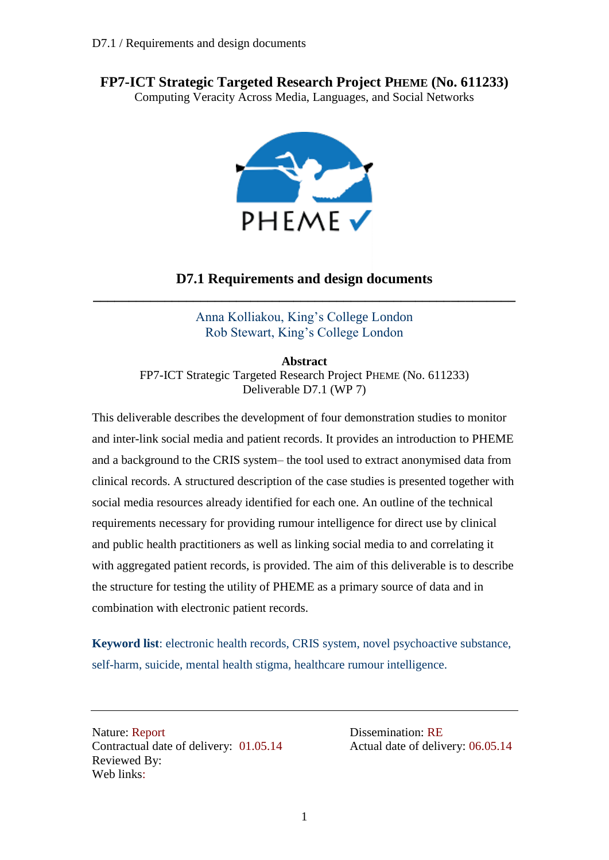## **FP7-ICT Strategic Targeted Research Project PHEME (No. 611233)**

Computing Veracity Across Media, Languages, and Social Networks



### **D7.1 Requirements and design documents \_\_\_\_\_\_\_\_\_\_\_\_\_\_\_\_\_\_\_\_\_\_\_\_\_\_\_\_\_\_\_\_\_\_\_\_\_\_\_\_\_\_\_\_\_\_\_\_\_\_\_\_\_\_\_\_\_\_\_**

Anna Kolliakou, King's College London Rob Stewart, King's College London

**Abstract** FP7-ICT Strategic Targeted Research Project PHEME (No. 611233) Deliverable D7.1 (WP 7)

This deliverable describes the development of four demonstration studies to monitor and inter-link social media and patient records. It provides an introduction to PHEME and a background to the CRIS system– the tool used to extract anonymised data from clinical records. A structured description of the case studies is presented together with social media resources already identified for each one. An outline of the technical requirements necessary for providing rumour intelligence for direct use by clinical and public health practitioners as well as linking social media to and correlating it with aggregated patient records, is provided. The aim of this deliverable is to describe the structure for testing the utility of PHEME as a primary source of data and in combination with electronic patient records.

**Keyword list**: electronic health records, CRIS system, novel psychoactive substance, self-harm, suicide, mental health stigma, healthcare rumour intelligence.

Nature: Report Dissemination: RE Contractual date of delivery:  $01.05.14$  Actual date of delivery: 06.05.14 Reviewed By: Web links: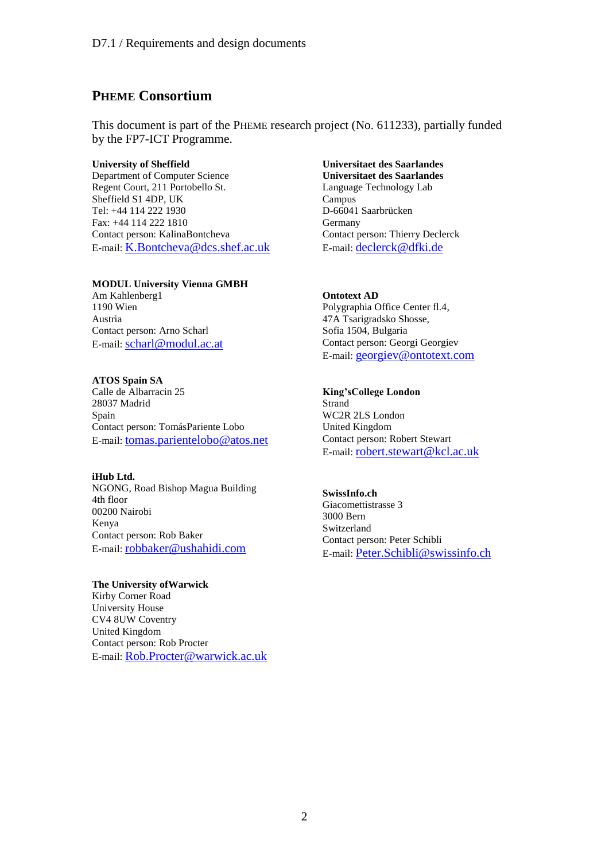### **PHEME Consortium**

This document is part of the PHEME research project (No. 611233), partially funded by the FP7-ICT Programme.

### **University of Sheffield**

Department of Computer Science Regent Court, 211 Portobello St. Sheffield S1 4DP, UK Tel: +44 114 222 1930 Fax: +44 114 222 1810 Contact person: KalinaBontcheva E-mail: [K.Bontcheva@dcs.shef.ac.uk](mailto:K.Bontcheva@dcs.shef.ac.uk)

### **MODUL University Vienna GMBH**

Am Kahlenberg1 1190 Wien Austria Contact person: Arno Scharl E-mail: [scharl@modul.ac.at](mailto:scharl@modul.ac.at)

### **ATOS Spain SA**

Calle de Albarracin 25 28037 Madrid Spain Contact person: TomásPariente Lobo E-mail: [tomas.parientelobo@atos.net](mailto:tomas.parientelobo@atos.net)

### **iHub Ltd.**

NGONG, Road Bishop Magua Building 4th floor 00200 Nairobi Kenya Contact person: Rob Baker E-mail: [robbaker@ushahidi.com](mailto:robbaker@ushahidi.com)

### **The University ofWarwick**

Kirby Corner Road University House CV4 8UW Coventry United Kingdom Contact person: Rob Procter E-mail: [Rob.Procter@warwick.ac.uk](mailto:Rob.Procter@warwick.ac.uk)

### **Universitaet des Saarlandes Universitaet des Saarlandes** Language Technology Lab Campus D-66041 Saarbrücken Germany Contact person: Thierry Declerck E-mail: [declerck@dfki.de](mailto:declerck@dfki.de)

**Ontotext AD** Polygraphia Office Center fl.4, 47A Tsarigradsko Shosse, Sofia 1504, Bulgaria Contact person: Georgi Georgiev E-mail: [georgiev@ontotext.com](mailto:georgiev@ontotext.com)

### **King'sCollege London**

Strand WC2R 2LS London United Kingdom Contact person: Robert Stewart E-mail: [robert.stewart@kcl.ac.uk](mailto:robert.stewart@kcl.ac.uk)

### **SwissInfo.ch**

Giacomettistrasse 3 3000 Bern Switzerland Contact person: Peter Schibli E-mail: [Peter.Schibli@swissinfo.ch](mailto:Peter.Schibli@swissinfo.ch)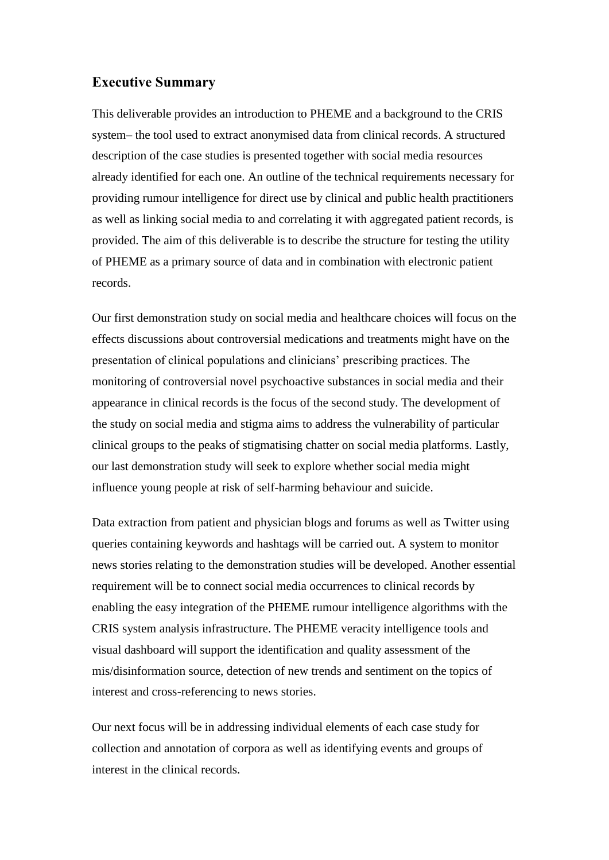### **Executive Summary**

This deliverable provides an introduction to PHEME and a background to the CRIS system– the tool used to extract anonymised data from clinical records. A structured description of the case studies is presented together with social media resources already identified for each one. An outline of the technical requirements necessary for providing rumour intelligence for direct use by clinical and public health practitioners as well as linking social media to and correlating it with aggregated patient records, is provided. The aim of this deliverable is to describe the structure for testing the utility of PHEME as a primary source of data and in combination with electronic patient records.

Our first demonstration study on social media and healthcare choices will focus on the effects discussions about controversial medications and treatments might have on the presentation of clinical populations and clinicians' prescribing practices. The monitoring of controversial novel psychoactive substances in social media and their appearance in clinical records is the focus of the second study. The development of the study on social media and stigma aims to address the vulnerability of particular clinical groups to the peaks of stigmatising chatter on social media platforms. Lastly, our last demonstration study will seek to explore whether social media might influence young people at risk of self-harming behaviour and suicide.

Data extraction from patient and physician blogs and forums as well as Twitter using queries containing keywords and hashtags will be carried out. A system to monitor news stories relating to the demonstration studies will be developed. Another essential requirement will be to connect social media occurrences to clinical records by enabling the easy integration of the PHEME rumour intelligence algorithms with the CRIS system analysis infrastructure. The PHEME veracity intelligence tools and visual dashboard will support the identification and quality assessment of the mis/disinformation source, detection of new trends and sentiment on the topics of interest and cross-referencing to news stories.

Our next focus will be in addressing individual elements of each case study for collection and annotation of corpora as well as identifying events and groups of interest in the clinical records.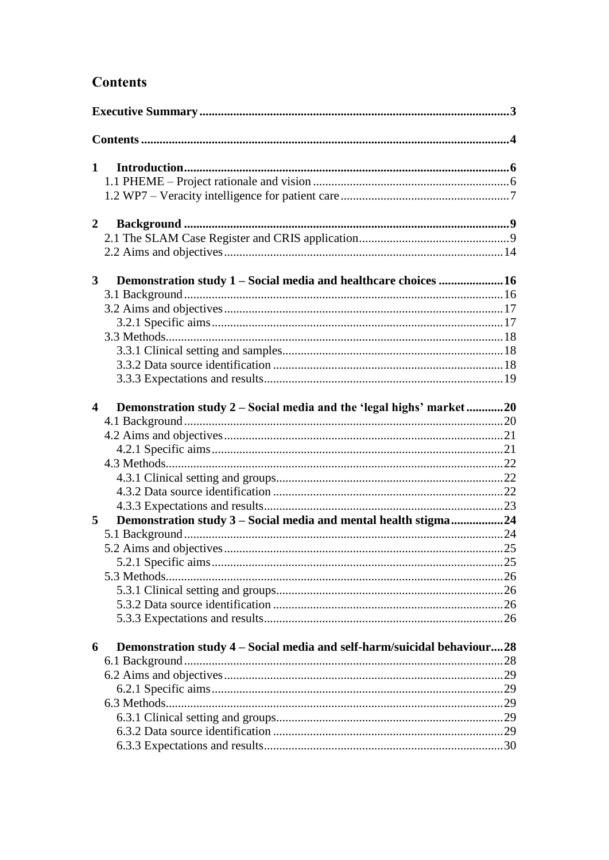# **Contents**

| $\mathbf{1}$            |                                                                         |  |
|-------------------------|-------------------------------------------------------------------------|--|
|                         |                                                                         |  |
|                         |                                                                         |  |
| $\overline{2}$          |                                                                         |  |
|                         |                                                                         |  |
|                         |                                                                         |  |
| 3 <sup>1</sup>          | Demonstration study 1 - Social media and healthcare choices 16          |  |
|                         |                                                                         |  |
|                         |                                                                         |  |
|                         |                                                                         |  |
|                         |                                                                         |  |
|                         |                                                                         |  |
|                         |                                                                         |  |
|                         |                                                                         |  |
|                         |                                                                         |  |
| $\overline{\mathbf{4}}$ | Demonstration study 2 – Social media and the 'legal highs' market20     |  |
|                         |                                                                         |  |
|                         |                                                                         |  |
|                         |                                                                         |  |
|                         |                                                                         |  |
|                         |                                                                         |  |
|                         |                                                                         |  |
| 5                       | Demonstration study 3 - Social media and mental health stigma24         |  |
|                         |                                                                         |  |
|                         |                                                                         |  |
|                         |                                                                         |  |
|                         |                                                                         |  |
|                         |                                                                         |  |
|                         |                                                                         |  |
|                         |                                                                         |  |
|                         |                                                                         |  |
| 6                       | Demonstration study 4 – Social media and self-harm/suicidal behaviour28 |  |
|                         |                                                                         |  |
|                         |                                                                         |  |
|                         |                                                                         |  |
|                         |                                                                         |  |
|                         |                                                                         |  |
|                         |                                                                         |  |
|                         |                                                                         |  |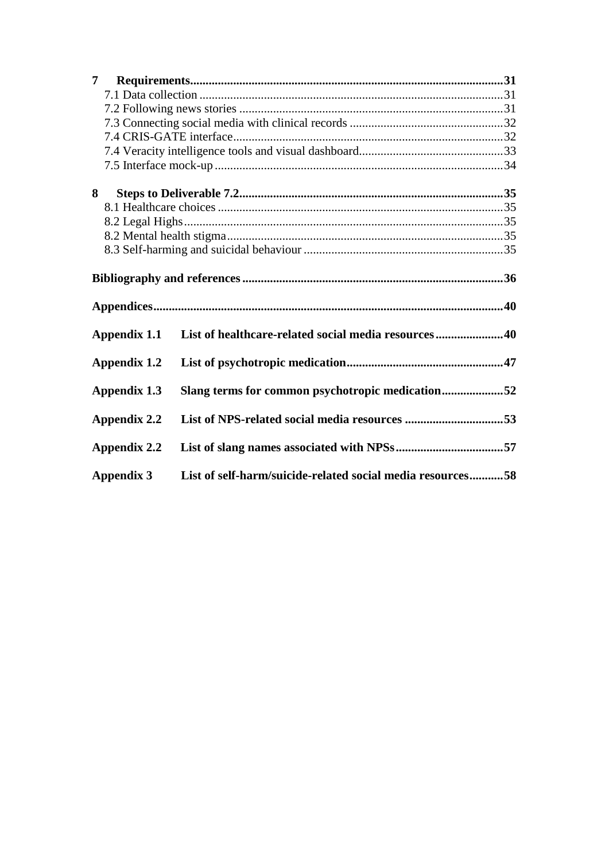| 7 <sup>7</sup>                                                   |                     |                                                            |  |  |  |  |  |
|------------------------------------------------------------------|---------------------|------------------------------------------------------------|--|--|--|--|--|
|                                                                  |                     |                                                            |  |  |  |  |  |
|                                                                  |                     |                                                            |  |  |  |  |  |
|                                                                  |                     |                                                            |  |  |  |  |  |
|                                                                  |                     |                                                            |  |  |  |  |  |
|                                                                  |                     |                                                            |  |  |  |  |  |
|                                                                  |                     |                                                            |  |  |  |  |  |
| 8                                                                |                     |                                                            |  |  |  |  |  |
|                                                                  |                     |                                                            |  |  |  |  |  |
|                                                                  |                     |                                                            |  |  |  |  |  |
|                                                                  |                     |                                                            |  |  |  |  |  |
|                                                                  |                     |                                                            |  |  |  |  |  |
|                                                                  |                     |                                                            |  |  |  |  |  |
|                                                                  | Appendix 1.1        | List of healthcare-related social media resources40        |  |  |  |  |  |
|                                                                  | <b>Appendix 1.2</b> |                                                            |  |  |  |  |  |
| Slang terms for common psychotropic medication52<br>Appendix 1.3 |                     |                                                            |  |  |  |  |  |
|                                                                  | Appendix 2.2        |                                                            |  |  |  |  |  |
|                                                                  | <b>Appendix 2.2</b> |                                                            |  |  |  |  |  |
|                                                                  | <b>Appendix 3</b>   | List of self-harm/suicide-related social media resources58 |  |  |  |  |  |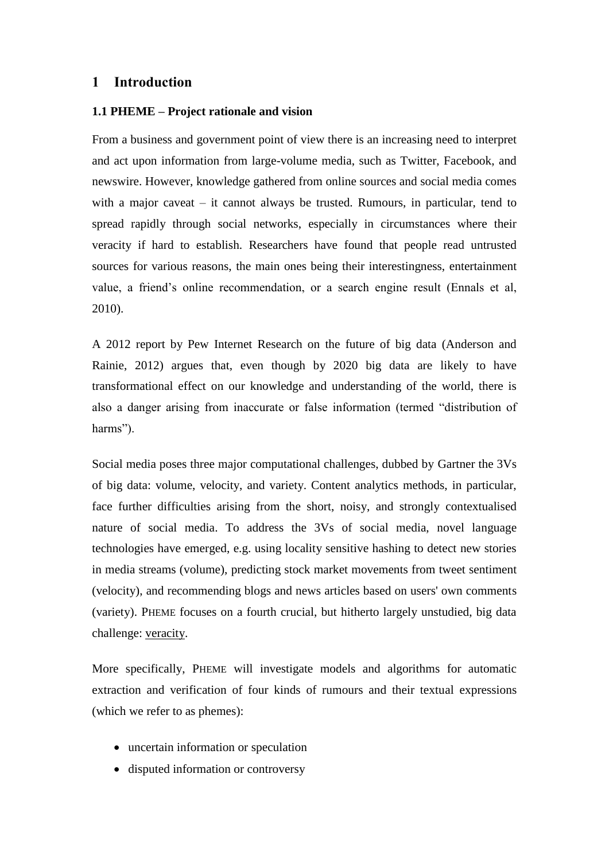### **1 Introduction**

### **1.1 PHEME – Project rationale and vision**

From a business and government point of view there is an increasing need to interpret and act upon information from large-volume media, such as Twitter, Facebook, and newswire. However, knowledge gathered from online sources and social media comes with a major caveat – it cannot always be trusted. Rumours, in particular, tend to spread rapidly through social networks, especially in circumstances where their veracity if hard to establish. Researchers have found that people read untrusted sources for various reasons, the main ones being their interestingness, entertainment value, a friend's online recommendation, or a search engine result (Ennals et al, 2010).

A 2012 report by Pew Internet Research on the future of big data (Anderson and Rainie, 2012) argues that, even though by 2020 big data are likely to have transformational effect on our knowledge and understanding of the world, there is also a danger arising from inaccurate or false information (termed "distribution of harms").

Social media poses three major computational challenges, dubbed by Gartner the 3Vs of big data: volume, velocity, and variety. Content analytics methods, in particular, face further difficulties arising from the short, noisy, and strongly contextualised nature of social media. To address the 3Vs of social media, novel language technologies have emerged, e.g. using locality sensitive hashing to detect new stories in media streams (volume), predicting stock market movements from tweet sentiment (velocity), and recommending blogs and news articles based on users' own comments (variety). PHEME focuses on a fourth crucial, but hitherto largely unstudied, big data challenge: veracity.

More specifically, PHEME will investigate models and algorithms for automatic extraction and verification of four kinds of rumours and their textual expressions (which we refer to as phemes):

- uncertain information or speculation
- disputed information or controversy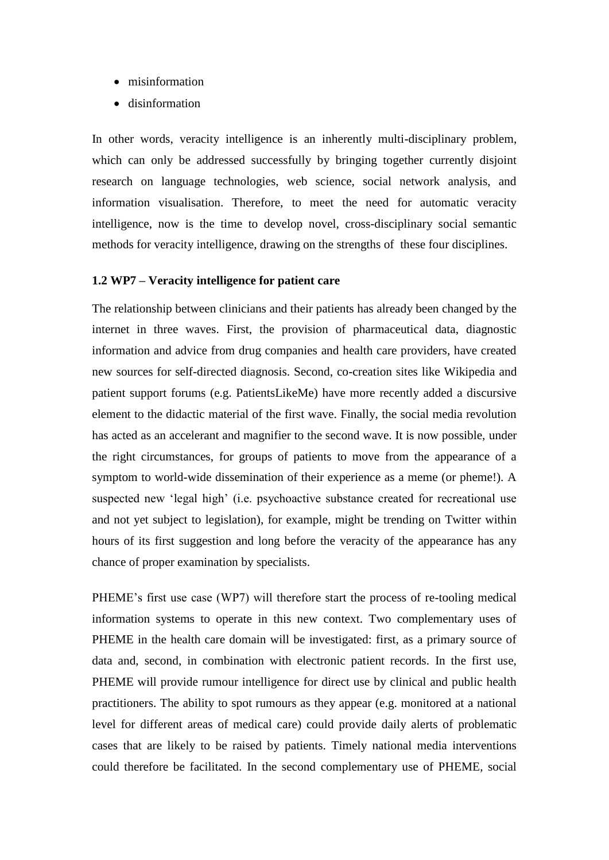- misinformation
- disinformation

In other words, veracity intelligence is an inherently multi-disciplinary problem, which can only be addressed successfully by bringing together currently disjoint research on language technologies, web science, social network analysis, and information visualisation. Therefore, to meet the need for automatic veracity intelligence, now is the time to develop novel, cross-disciplinary social semantic methods for veracity intelligence, drawing on the strengths of these four disciplines.

### **1.2 WP7 – Veracity intelligence for patient care**

The relationship between clinicians and their patients has already been changed by the internet in three waves. First, the provision of pharmaceutical data, diagnostic information and advice from drug companies and health care providers, have created new sources for self-directed diagnosis. Second, co-creation sites like Wikipedia and patient support forums (e.g. PatientsLikeMe) have more recently added a discursive element to the didactic material of the first wave. Finally, the social media revolution has acted as an accelerant and magnifier to the second wave. It is now possible, under the right circumstances, for groups of patients to move from the appearance of a symptom to world-wide dissemination of their experience as a meme (or pheme!). A suspected new 'legal high' (i.e. psychoactive substance created for recreational use and not yet subject to legislation), for example, might be trending on Twitter within hours of its first suggestion and long before the veracity of the appearance has any chance of proper examination by specialists.

PHEME's first use case (WP7) will therefore start the process of re-tooling medical information systems to operate in this new context. Two complementary uses of PHEME in the health care domain will be investigated: first, as a primary source of data and, second, in combination with electronic patient records. In the first use, PHEME will provide rumour intelligence for direct use by clinical and public health practitioners. The ability to spot rumours as they appear (e.g. monitored at a national level for different areas of medical care) could provide daily alerts of problematic cases that are likely to be raised by patients. Timely national media interventions could therefore be facilitated. In the second complementary use of PHEME, social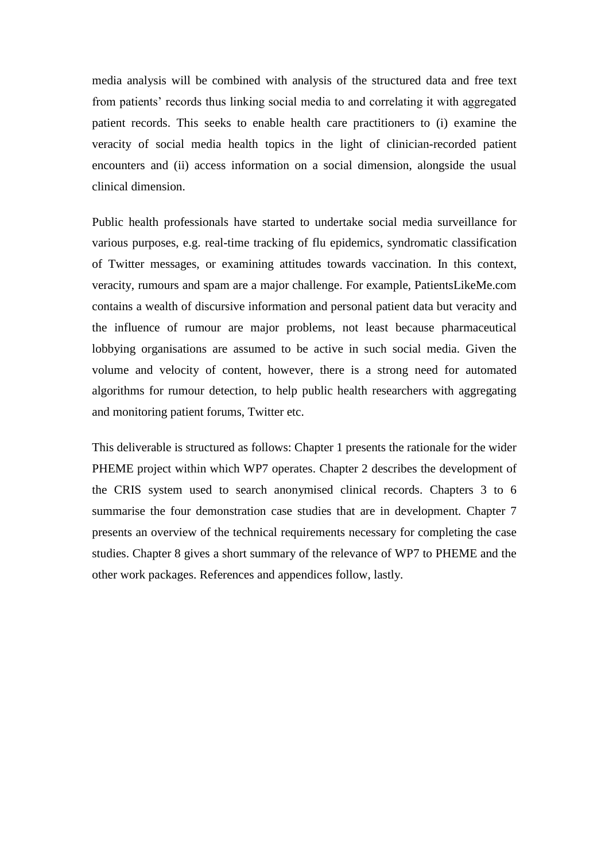media analysis will be combined with analysis of the structured data and free text from patients' records thus linking social media to and correlating it with aggregated patient records. This seeks to enable health care practitioners to (i) examine the veracity of social media health topics in the light of clinician-recorded patient encounters and (ii) access information on a social dimension, alongside the usual clinical dimension.

Public health professionals have started to undertake social media surveillance for various purposes, e.g. real-time tracking of flu epidemics, syndromatic classification of Twitter messages, or examining attitudes towards vaccination. In this context, veracity, rumours and spam are a major challenge. For example, PatientsLikeMe.com contains a wealth of discursive information and personal patient data but veracity and the influence of rumour are major problems, not least because pharmaceutical lobbying organisations are assumed to be active in such social media. Given the volume and velocity of content, however, there is a strong need for automated algorithms for rumour detection, to help public health researchers with aggregating and monitoring patient forums, Twitter etc.

This deliverable is structured as follows: Chapter 1 presents the rationale for the wider PHEME project within which WP7 operates. Chapter 2 describes the development of the CRIS system used to search anonymised clinical records. Chapters 3 to 6 summarise the four demonstration case studies that are in development. Chapter 7 presents an overview of the technical requirements necessary for completing the case studies. Chapter 8 gives a short summary of the relevance of WP7 to PHEME and the other work packages. References and appendices follow, lastly.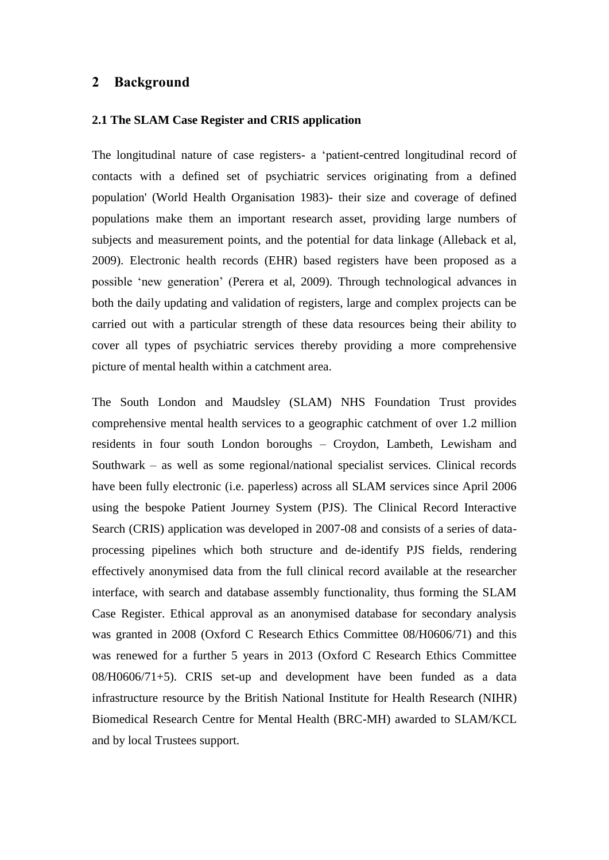### **2 Background**

### **2.1 The SLAM Case Register and CRIS application**

The longitudinal nature of case registers- a 'patient-centred longitudinal record of contacts with a defined set of psychiatric services originating from a defined population' (World Health Organisation 1983)- their size and coverage of defined populations make them an important research asset, providing large numbers of subjects and measurement points, and the potential for data linkage (Alleback et al, 2009). Electronic health records (EHR) based registers have been proposed as a possible 'new generation' (Perera et al, 2009). Through technological advances in both the daily updating and validation of registers, large and complex projects can be carried out with a particular strength of these data resources being their ability to cover all types of psychiatric services thereby providing a more comprehensive picture of mental health within a catchment area.

The South London and Maudsley (SLAM) NHS Foundation Trust provides comprehensive mental health services to a geographic catchment of over 1.2 million residents in four south London boroughs – Croydon, Lambeth, Lewisham and Southwark – as well as some regional/national specialist services. Clinical records have been fully electronic (i.e. paperless) across all SLAM services since April 2006 using the bespoke Patient Journey System (PJS). The Clinical Record Interactive Search (CRIS) application was developed in 2007-08 and consists of a series of dataprocessing pipelines which both structure and de-identify PJS fields, rendering effectively anonymised data from the full clinical record available at the researcher interface, with search and database assembly functionality, thus forming the SLAM Case Register. Ethical approval as an anonymised database for secondary analysis was granted in 2008 (Oxford C Research Ethics Committee 08/H0606/71) and this was renewed for a further 5 years in 2013 (Oxford C Research Ethics Committee 08/H0606/71+5). CRIS set-up and development have been funded as a data infrastructure resource by the British National Institute for Health Research (NIHR) Biomedical Research Centre for Mental Health (BRC-MH) awarded to SLAM/KCL and by local Trustees support.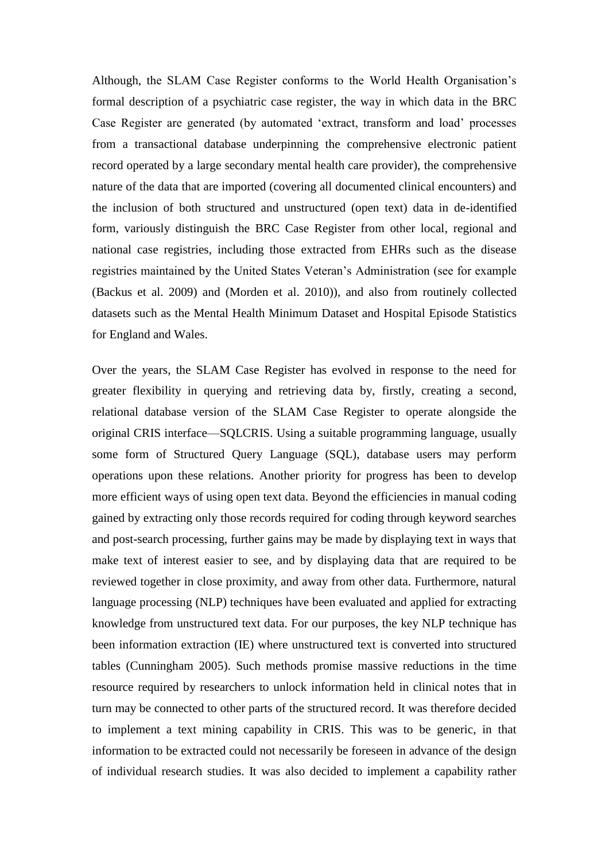Although, the SLAM Case Register conforms to the World Health Organisation's formal description of a psychiatric case register, the way in which data in the BRC Case Register are generated (by automated 'extract, transform and load' processes from a transactional database underpinning the comprehensive electronic patient record operated by a large secondary mental health care provider), the comprehensive nature of the data that are imported (covering all documented clinical encounters) and the inclusion of both structured and unstructured (open text) data in de-identified form, variously distinguish the BRC Case Register from other local, regional and national case registries, including those extracted from EHRs such as the disease registries maintained by the United States Veteran's Administration (see for example (Backus et al. 2009) and (Morden et al. 2010)), and also from routinely collected datasets such as the Mental Health Minimum Dataset and Hospital Episode Statistics for England and Wales.

Over the years, the SLAM Case Register has evolved in response to the need for greater flexibility in querying and retrieving data by, firstly, creating a second, relational database version of the SLAM Case Register to operate alongside the original CRIS interface—SQLCRIS. Using a suitable programming language, usually some form of Structured Query Language (SQL), database users may perform operations upon these relations. Another priority for progress has been to develop more efficient ways of using open text data. Beyond the efficiencies in manual coding gained by extracting only those records required for coding through keyword searches and post-search processing, further gains may be made by displaying text in ways that make text of interest easier to see, and by displaying data that are required to be reviewed together in close proximity, and away from other data. Furthermore, natural language processing (NLP) techniques have been evaluated and applied for extracting knowledge from unstructured text data. For our purposes, the key NLP technique has been information extraction (IE) where unstructured text is converted into structured tables (Cunningham 2005). Such methods promise massive reductions in the time resource required by researchers to unlock information held in clinical notes that in turn may be connected to other parts of the structured record. It was therefore decided to implement a text mining capability in CRIS. This was to be generic, in that information to be extracted could not necessarily be foreseen in advance of the design of individual research studies. It was also decided to implement a capability rather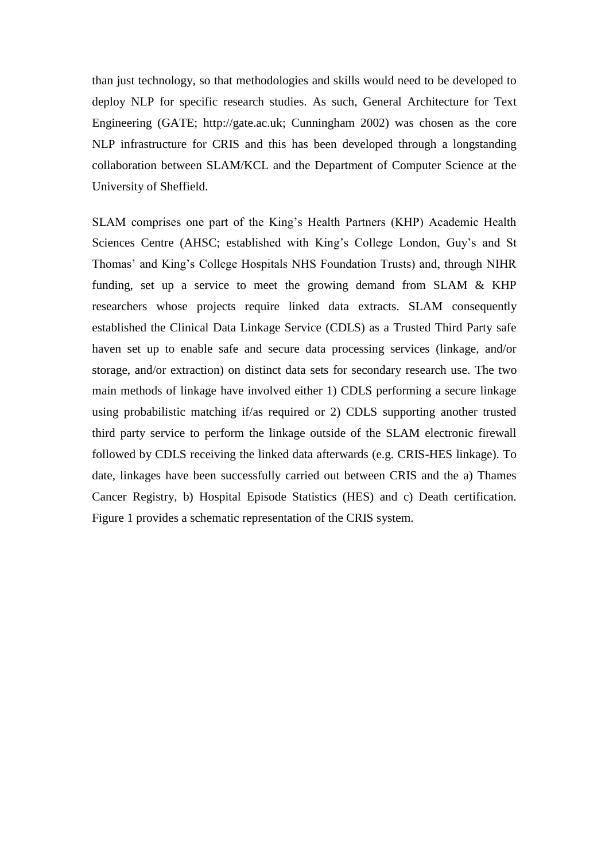than just technology, so that methodologies and skills would need to be developed to deploy NLP for specific research studies. As such, General Architecture for Text Engineering (GATE; http://gate.ac.uk; Cunningham 2002) was chosen as the core NLP infrastructure for CRIS and this has been developed through a longstanding collaboration between SLAM/KCL and the Department of Computer Science at the University of Sheffield.

SLAM comprises one part of the King's Health Partners (KHP) Academic Health Sciences Centre (AHSC; established with King's College London, Guy's and St Thomas' and King's College Hospitals NHS Foundation Trusts) and, through NIHR funding, set up a service to meet the growing demand from SLAM & KHP researchers whose projects require linked data extracts. SLAM consequently established the Clinical Data Linkage Service (CDLS) as a Trusted Third Party safe haven set up to enable safe and secure data processing services (linkage, and/or storage, and/or extraction) on distinct data sets for secondary research use. The two main methods of linkage have involved either 1) CDLS performing a secure linkage using probabilistic matching if/as required or 2) CDLS supporting another trusted third party service to perform the linkage outside of the SLAM electronic firewall followed by CDLS receiving the linked data afterwards (e.g. CRIS-HES linkage). To date, linkages have been successfully carried out between CRIS and the a) Thames Cancer Registry, b) Hospital Episode Statistics (HES) and c) Death certification. Figure 1 provides a schematic representation of the CRIS system.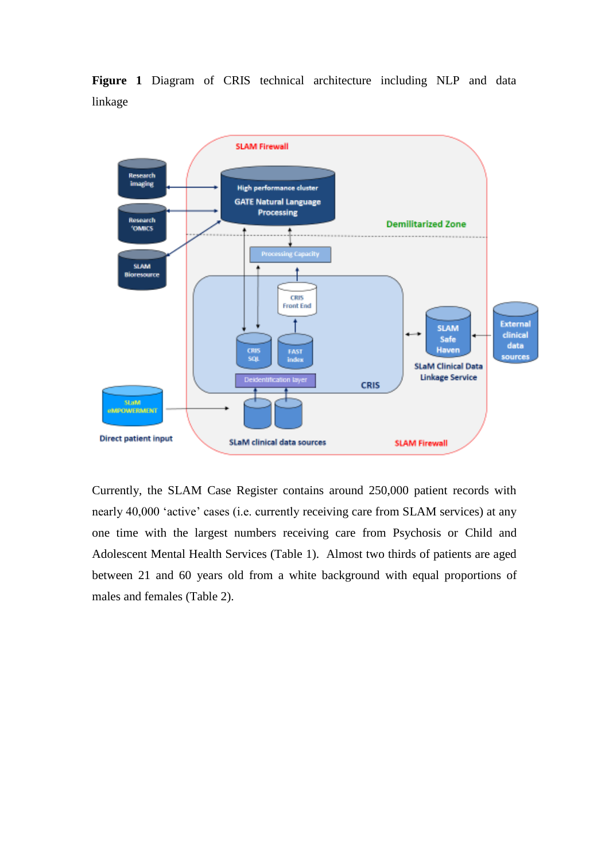



Currently, the SLAM Case Register contains around 250,000 patient records with nearly 40,000 'active' cases (i.e. currently receiving care from SLAM services) at any one time with the largest numbers receiving care from Psychosis or Child and Adolescent Mental Health Services (Table 1). Almost two thirds of patients are aged between 21 and 60 years old from a white background with equal proportions of males and females (Table 2).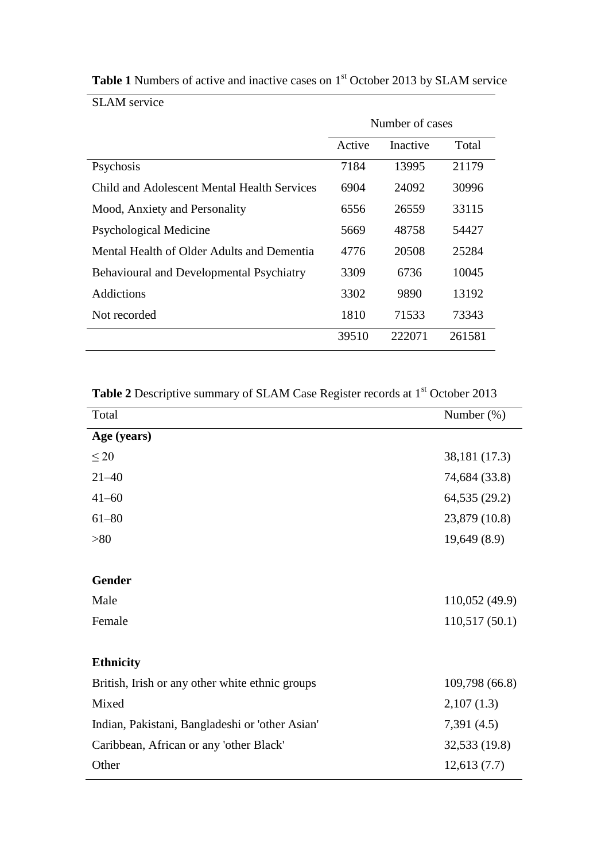|                                                 | Number of cases |          |        |
|-------------------------------------------------|-----------------|----------|--------|
|                                                 | Active          | Inactive | Total  |
| Psychosis                                       | 7184            | 13995    | 21179  |
| Child and Adolescent Mental Health Services     | 6904            | 24092    | 30996  |
| Mood, Anxiety and Personality                   | 6556            | 26559    | 33115  |
| Psychological Medicine                          | 5669            | 48758    | 54427  |
| Mental Health of Older Adults and Dementia      | 4776            | 20508    | 25284  |
| <b>Behavioural and Developmental Psychiatry</b> | 3309            | 6736     | 10045  |
| <b>Addictions</b>                               | 3302            | 9890     | 13192  |
| Not recorded                                    | 1810            | 71533    | 73343  |
|                                                 | 39510           | 222071   | 261581 |

Table 1 Numbers of active and inactive cases on 1<sup>st</sup> October 2013 by SLAM service

SLAM service

Table 2 Descriptive summary of SLAM Case Register records at 1<sup>st</sup> October 2013

| Total                                           | Number $(\%)$  |
|-------------------------------------------------|----------------|
| Age (years)                                     |                |
| $\leq 20$                                       | 38,181 (17.3)  |
| $21 - 40$                                       | 74,684 (33.8)  |
| $41 - 60$                                       | 64,535 (29.2)  |
| $61 - 80$                                       | 23,879 (10.8)  |
| >80                                             | 19,649(8.9)    |
|                                                 |                |
| <b>Gender</b>                                   |                |
| Male                                            | 110,052 (49.9) |
| Female                                          | 110,517(50.1)  |
|                                                 |                |
| <b>Ethnicity</b>                                |                |
| British, Irish or any other white ethnic groups | 109,798 (66.8) |
| Mixed                                           | 2,107(1.3)     |
| Indian, Pakistani, Bangladeshi or 'other Asian' | 7,391(4.5)     |
| Caribbean, African or any 'other Black'         | 32,533 (19.8)  |
| Other                                           | 12,613(7.7)    |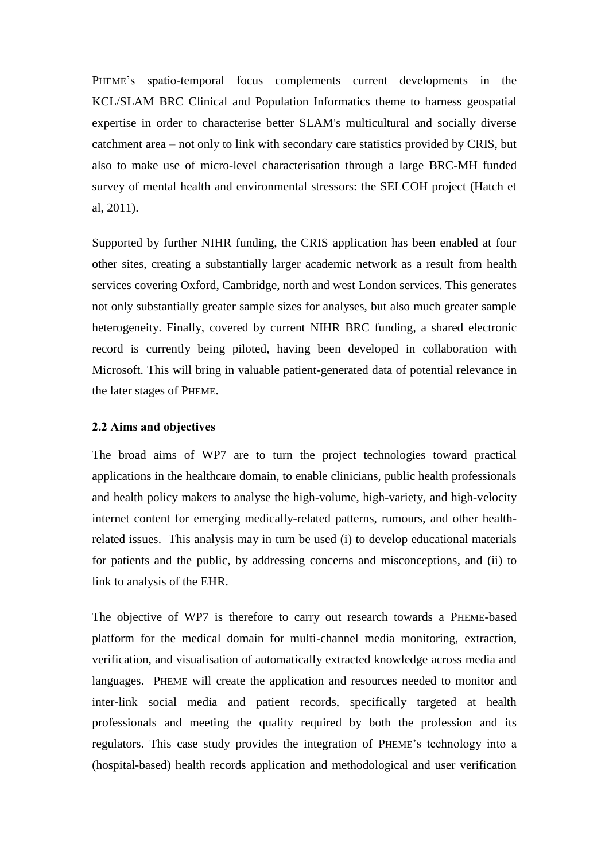PHEME's spatio-temporal focus complements current developments in the KCL/SLAM BRC Clinical and Population Informatics theme to harness geospatial expertise in order to characterise better SLAM's multicultural and socially diverse catchment area – not only to link with secondary care statistics provided by CRIS, but also to make use of micro-level characterisation through a large BRC-MH funded survey of mental health and environmental stressors: the SELCOH project (Hatch et al, 2011).

Supported by further NIHR funding, the CRIS application has been enabled at four other sites, creating a substantially larger academic network as a result from health services covering Oxford, Cambridge, north and west London services. This generates not only substantially greater sample sizes for analyses, but also much greater sample heterogeneity. Finally, covered by current NIHR BRC funding, a shared electronic record is currently being piloted, having been developed in collaboration with Microsoft. This will bring in valuable patient-generated data of potential relevance in the later stages of PHEME.

### **2.2 Aims and objectives**

The broad aims of WP7 are to turn the project technologies toward practical applications in the healthcare domain, to enable clinicians, public health professionals and health policy makers to analyse the high-volume, high-variety, and high-velocity internet content for emerging medically-related patterns, rumours, and other healthrelated issues. This analysis may in turn be used (i) to develop educational materials for patients and the public, by addressing concerns and misconceptions, and (ii) to link to analysis of the EHR.

The objective of WP7 is therefore to carry out research towards a PHEME-based platform for the medical domain for multi-channel media monitoring, extraction, verification, and visualisation of automatically extracted knowledge across media and languages. PHEME will create the application and resources needed to monitor and inter-link social media and patient records, specifically targeted at health professionals and meeting the quality required by both the profession and its regulators. This case study provides the integration of PHEME's technology into a (hospital-based) health records application and methodological and user verification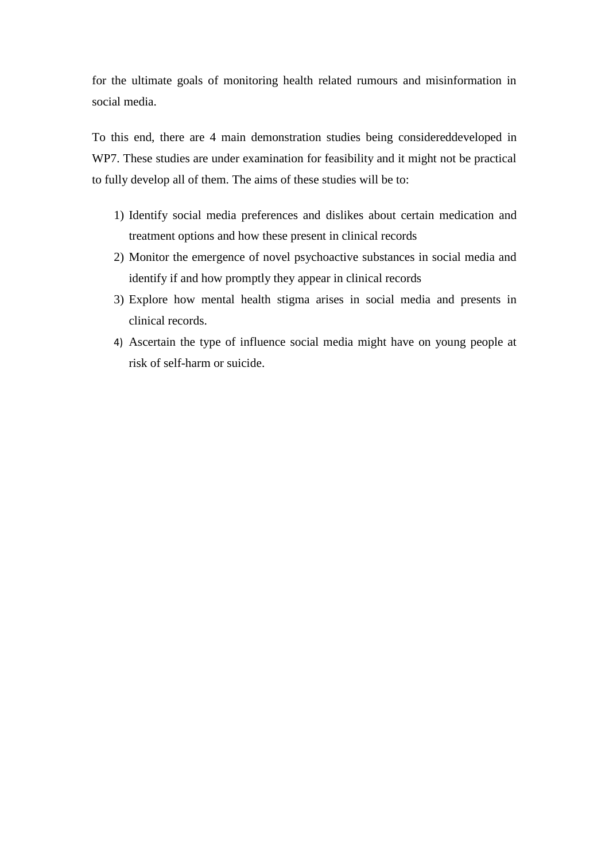for the ultimate goals of monitoring health related rumours and misinformation in social media.

To this end, there are 4 main demonstration studies being considereddeveloped in WP7. These studies are under examination for feasibility and it might not be practical to fully develop all of them. The aims of these studies will be to:

- 1) Identify social media preferences and dislikes about certain medication and treatment options and how these present in clinical records
- 2) Monitor the emergence of novel psychoactive substances in social media and identify if and how promptly they appear in clinical records
- 3) Explore how mental health stigma arises in social media and presents in clinical records.
- 4) Ascertain the type of influence social media might have on young people at risk of self-harm or suicide.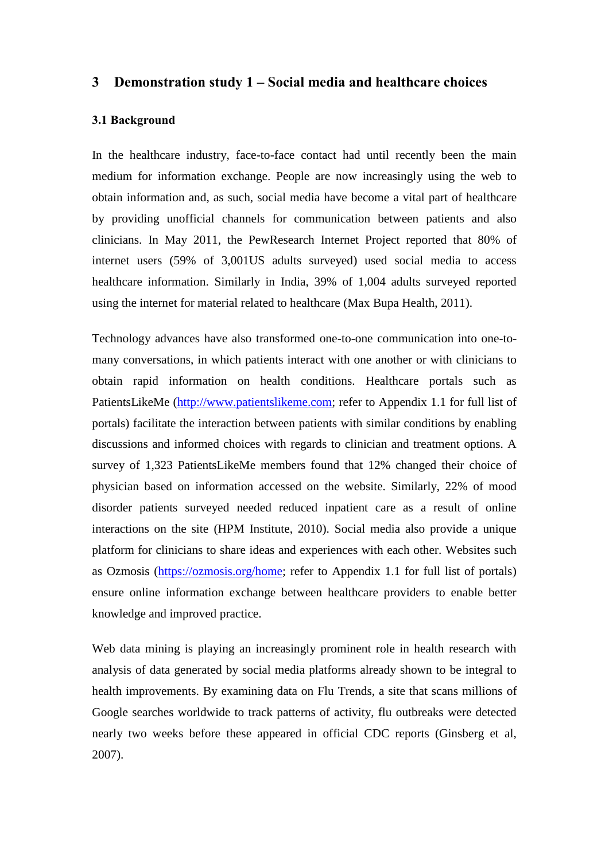### **3 Demonstration study 1 – Social media and healthcare choices**

### **3.1 Background**

In the healthcare industry, face-to-face contact had until recently been the main medium for information exchange. People are now increasingly using the web to obtain information and, as such, social media have become a vital part of healthcare by providing unofficial channels for communication between patients and also clinicians. In May 2011, the PewResearch Internet Project reported that 80% of internet users (59% of 3,001US adults surveyed) used social media to access healthcare information. Similarly in India, 39% of 1,004 adults surveyed reported using the internet for material related to healthcare (Max Bupa Health, 2011).

Technology advances have also transformed one-to-one communication into one-tomany conversations, in which patients interact with one another or with clinicians to obtain rapid information on health conditions. Healthcare portals such as PatientsLikeMe (http://www.patientslikeme.com; refer to Appendix 1.1 for full list of portals) facilitate the interaction between patients with similar conditions by enabling discussions and informed choices with regards to clinician and treatment options. A survey of 1,323 PatientsLikeMe members found that 12% changed their choice of physician based on information accessed on the website. Similarly, 22% of mood disorder patients surveyed needed reduced inpatient care as a result of online interactions on the site (HPM Institute, 2010). Social media also provide a unique platform for clinicians to share ideas and experiences with each other. Websites such as Ozmosis [\(https://ozmosis.org/home;](https://ozmosis.org/home) refer to Appendix 1.1 for full list of portals) ensure online information exchange between healthcare providers to enable better knowledge and improved practice.

Web data mining is playing an increasingly prominent role in health research with analysis of data generated by social media platforms already shown to be integral to health improvements. By examining data on Flu Trends, a site that scans millions of Google searches worldwide to track patterns of activity, flu outbreaks were detected nearly two weeks before these appeared in official CDC reports (Ginsberg et al, 2007).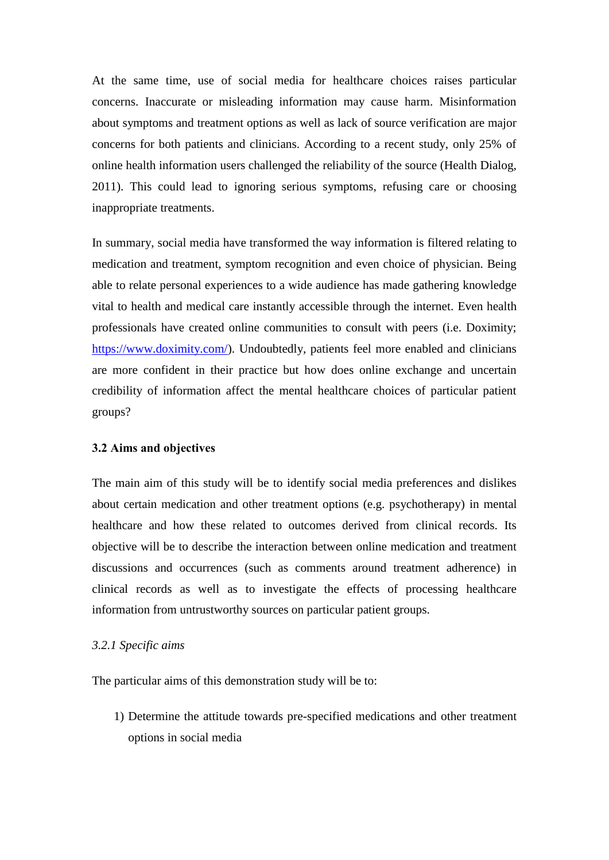At the same time, use of social media for healthcare choices raises particular concerns. Inaccurate or misleading information may cause harm. Misinformation about symptoms and treatment options as well as lack of source verification are major concerns for both patients and clinicians. According to a recent study, only 25% of online health information users challenged the reliability of the source (Health Dialog, 2011). This could lead to ignoring serious symptoms, refusing care or choosing inappropriate treatments.

In summary, social media have transformed the way information is filtered relating to medication and treatment, symptom recognition and even choice of physician. Being able to relate personal experiences to a wide audience has made gathering knowledge vital to health and medical care instantly accessible through the internet. Even health professionals have created online communities to consult with peers (i.e. Doximity; [https://www.doximity.com/\)](https://www.doximity.com/). Undoubtedly, patients feel more enabled and clinicians are more confident in their practice but how does online exchange and uncertain credibility of information affect the mental healthcare choices of particular patient groups?

### **3.2 Aims and objectives**

The main aim of this study will be to identify social media preferences and dislikes about certain medication and other treatment options (e.g. psychotherapy) in mental healthcare and how these related to outcomes derived from clinical records. Its objective will be to describe the interaction between online medication and treatment discussions and occurrences (such as comments around treatment adherence) in clinical records as well as to investigate the effects of processing healthcare information from untrustworthy sources on particular patient groups.

### *3.2.1 Specific aims*

The particular aims of this demonstration study will be to:

1) Determine the attitude towards pre-specified medications and other treatment options in social media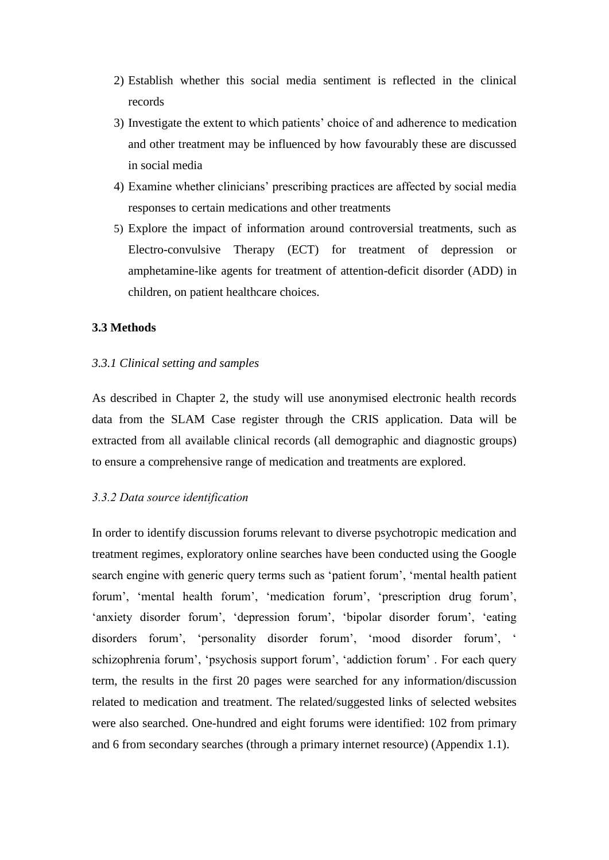- 2) Establish whether this social media sentiment is reflected in the clinical records
- 3) Investigate the extent to which patients' choice of and adherence to medication and other treatment may be influenced by how favourably these are discussed in social media
- 4) Examine whether clinicians' prescribing practices are affected by social media responses to certain medications and other treatments
- 5) Explore the impact of information around controversial treatments, such as Electro-convulsive Therapy (ECT) for treatment of depression or amphetamine-like agents for treatment of attention-deficit disorder (ADD) in children, on patient healthcare choices.

### **3.3 Methods**

### *3.3.1 Clinical setting and samples*

As described in Chapter 2, the study will use anonymised electronic health records data from the SLAM Case register through the CRIS application. Data will be extracted from all available clinical records (all demographic and diagnostic groups) to ensure a comprehensive range of medication and treatments are explored.

### *3.3.2 Data source identification*

In order to identify discussion forums relevant to diverse psychotropic medication and treatment regimes, exploratory online searches have been conducted using the Google search engine with generic query terms such as 'patient forum', 'mental health patient forum', 'mental health forum', 'medication forum', 'prescription drug forum', 'anxiety disorder forum', 'depression forum', 'bipolar disorder forum', 'eating disorders forum', 'personality disorder forum', 'mood disorder forum', ' schizophrenia forum', 'psychosis support forum', 'addiction forum' . For each query term, the results in the first 20 pages were searched for any information/discussion related to medication and treatment. The related/suggested links of selected websites were also searched. One-hundred and eight forums were identified: 102 from primary and 6 from secondary searches (through a primary internet resource) (Appendix 1.1).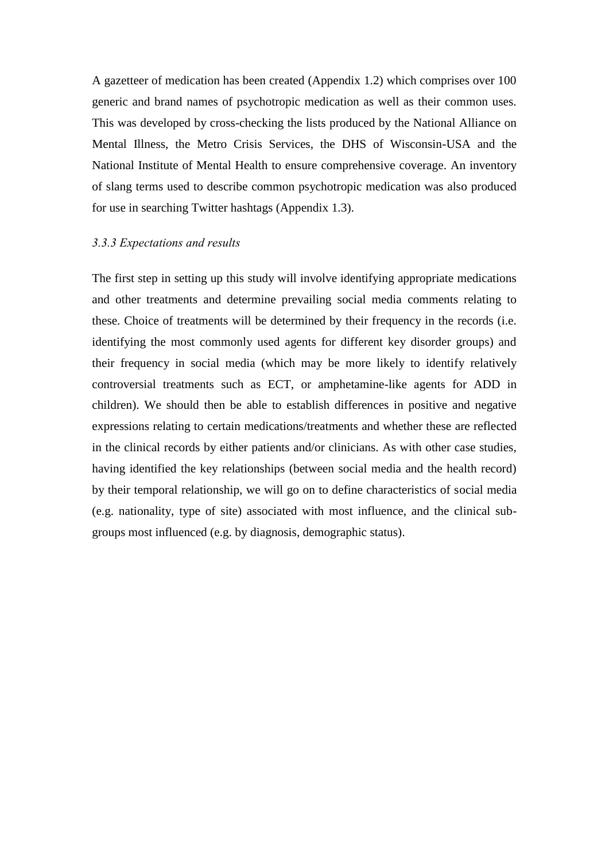A gazetteer of medication has been created (Appendix 1.2) which comprises over 100 generic and brand names of psychotropic medication as well as their common uses. This was developed by cross-checking the lists produced by the National Alliance on Mental Illness, the Metro Crisis Services, the DHS of Wisconsin-USA and the National Institute of Mental Health to ensure comprehensive coverage. An inventory of slang terms used to describe common psychotropic medication was also produced for use in searching Twitter hashtags (Appendix 1.3).

### *3.3.3 Expectations and results*

The first step in setting up this study will involve identifying appropriate medications and other treatments and determine prevailing social media comments relating to these. Choice of treatments will be determined by their frequency in the records (i.e. identifying the most commonly used agents for different key disorder groups) and their frequency in social media (which may be more likely to identify relatively controversial treatments such as ECT, or amphetamine-like agents for ADD in children). We should then be able to establish differences in positive and negative expressions relating to certain medications/treatments and whether these are reflected in the clinical records by either patients and/or clinicians. As with other case studies, having identified the key relationships (between social media and the health record) by their temporal relationship, we will go on to define characteristics of social media (e.g. nationality, type of site) associated with most influence, and the clinical subgroups most influenced (e.g. by diagnosis, demographic status).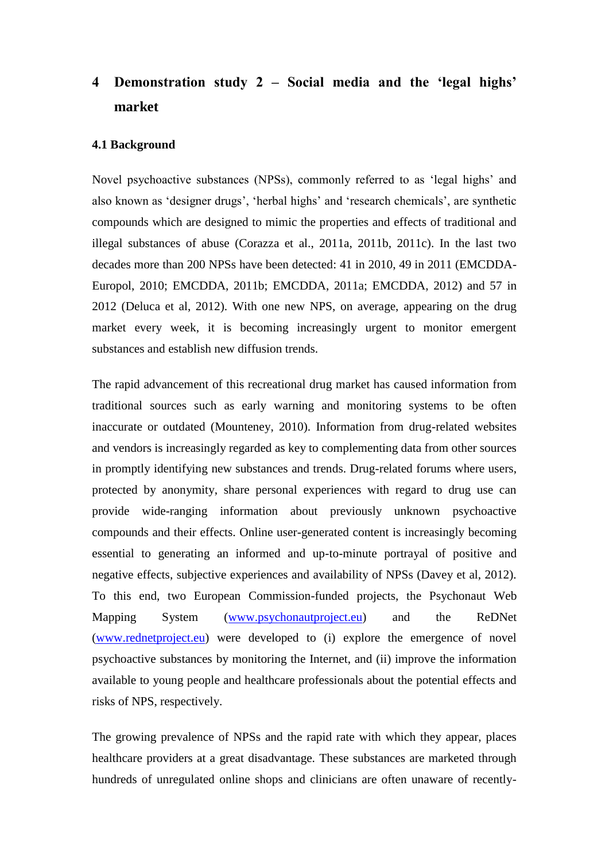# **4 Demonstration study 2 – Social media and the 'legal highs' market**

### **4.1 Background**

Novel psychoactive substances (NPSs), commonly referred to as 'legal highs' and also known as 'designer drugs', 'herbal highs' and 'research chemicals', are synthetic compounds which are designed to mimic the properties and effects of traditional and illegal substances of abuse (Corazza et al., 2011a, 2011b, 2011c). In the last two decades more than 200 NPSs have been detected: 41 in 2010, 49 in 2011 (EMCDDA-Europol, 2010; EMCDDA, 2011b; EMCDDA, 2011a; EMCDDA, 2012) and 57 in 2012 (Deluca et al, 2012). With one new NPS, on average, appearing on the drug market every week, it is becoming increasingly urgent to monitor emergent substances and establish new diffusion trends.

The rapid advancement of this recreational drug market has caused information from traditional sources such as early warning and monitoring systems to be often inaccurate or outdated (Mounteney, 2010). Information from drug-related websites and vendors is increasingly regarded as key to complementing data from other sources in promptly identifying new substances and trends. Drug-related forums where users, protected by anonymity, share personal experiences with regard to drug use can provide wide-ranging information about previously unknown psychoactive compounds and their effects. Online user-generated content is increasingly becoming essential to generating an informed and up-to-minute portrayal of positive and negative effects, subjective experiences and availability of NPSs (Davey et al, 2012). To this end, two European Commission-funded projects, the Psychonaut Web Mapping System [\(www.psychonautproject.eu\)](http://www.psychonautproject.eu/) and the ReDNet [\(www.rednetproject.eu\)](http://www.rednetproject.eu/) were developed to (i) explore the emergence of novel psychoactive substances by monitoring the Internet, and (ii) improve the information available to young people and healthcare professionals about the potential effects and risks of NPS, respectively.

The growing prevalence of NPSs and the rapid rate with which they appear, places healthcare providers at a great disadvantage. These substances are marketed through hundreds of unregulated online shops and clinicians are often unaware of recently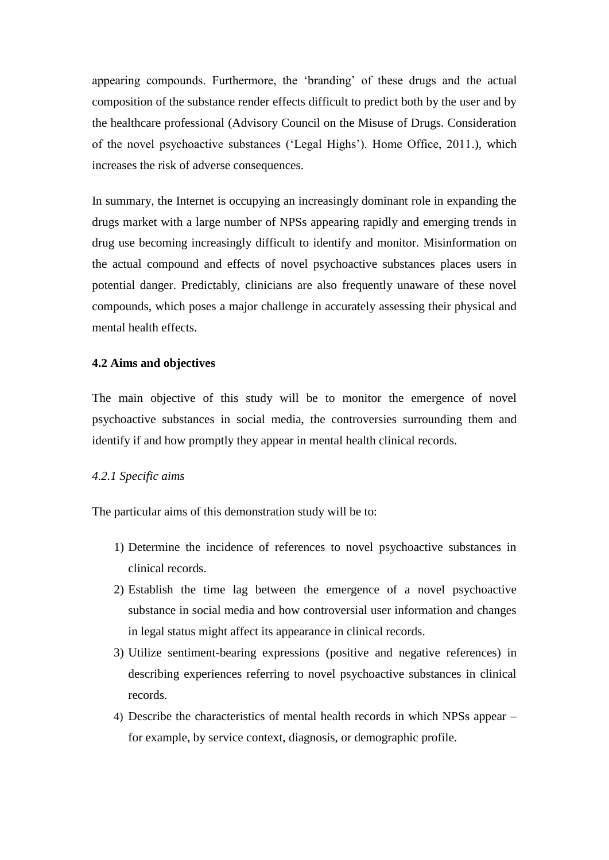appearing compounds. Furthermore, the 'branding' of these drugs and the actual composition of the substance render effects difficult to predict both by the user and by the healthcare professional (Advisory Council on the Misuse of Drugs. Consideration of the novel psychoactive substances ('Legal Highs'). Home Office, 2011.), which increases the risk of adverse consequences.

In summary, the Internet is occupying an increasingly dominant role in expanding the drugs market with a large number of NPSs appearing rapidly and emerging trends in drug use becoming increasingly difficult to identify and monitor. Misinformation on the actual compound and effects of novel psychoactive substances places users in potential danger. Predictably, clinicians are also frequently unaware of these novel compounds, which poses a major challenge in accurately assessing their physical and mental health effects.

### **4.2 Aims and objectives**

The main objective of this study will be to monitor the emergence of novel psychoactive substances in social media, the controversies surrounding them and identify if and how promptly they appear in mental health clinical records.

### *4.2.1 Specific aims*

The particular aims of this demonstration study will be to:

- 1) Determine the incidence of references to novel psychoactive substances in clinical records.
- 2) Establish the time lag between the emergence of a novel psychoactive substance in social media and how controversial user information and changes in legal status might affect its appearance in clinical records.
- 3) Utilize sentiment-bearing expressions (positive and negative references) in describing experiences referring to novel psychoactive substances in clinical records.
- 4) Describe the characteristics of mental health records in which NPSs appear for example, by service context, diagnosis, or demographic profile.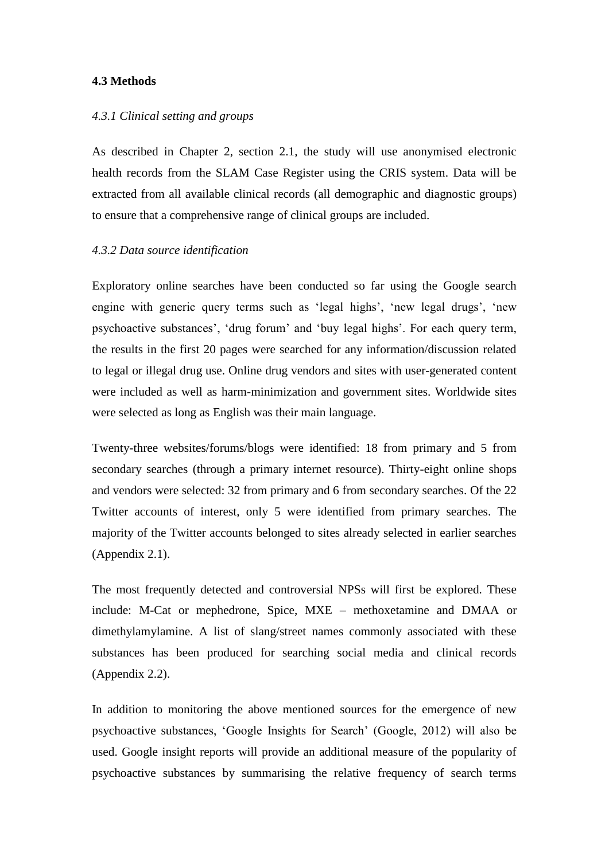### **4.3 Methods**

### *4.3.1 Clinical setting and groups*

As described in Chapter 2, section 2.1, the study will use anonymised electronic health records from the SLAM Case Register using the CRIS system. Data will be extracted from all available clinical records (all demographic and diagnostic groups) to ensure that a comprehensive range of clinical groups are included.

### *4.3.2 Data source identification*

Exploratory online searches have been conducted so far using the Google search engine with generic query terms such as 'legal highs', 'new legal drugs', 'new psychoactive substances', 'drug forum' and 'buy legal highs'. For each query term, the results in the first 20 pages were searched for any information/discussion related to legal or illegal drug use. Online drug vendors and sites with user-generated content were included as well as harm-minimization and government sites. Worldwide sites were selected as long as English was their main language.

Twenty-three websites/forums/blogs were identified: 18 from primary and 5 from secondary searches (through a primary internet resource). Thirty-eight online shops and vendors were selected: 32 from primary and 6 from secondary searches. Of the 22 Twitter accounts of interest, only 5 were identified from primary searches. The majority of the Twitter accounts belonged to sites already selected in earlier searches (Appendix 2.1).

The most frequently detected and controversial NPSs will first be explored. These include: M-Cat or mephedrone, Spice, MXE – methoxetamine and DMAA or dimethylamylamine. A list of slang/street names commonly associated with these substances has been produced for searching social media and clinical records (Appendix 2.2).

In addition to monitoring the above mentioned sources for the emergence of new psychoactive substances, 'Google Insights for Search' (Google, 2012) will also be used. Google insight reports will provide an additional measure of the popularity of psychoactive substances by summarising the relative frequency of search terms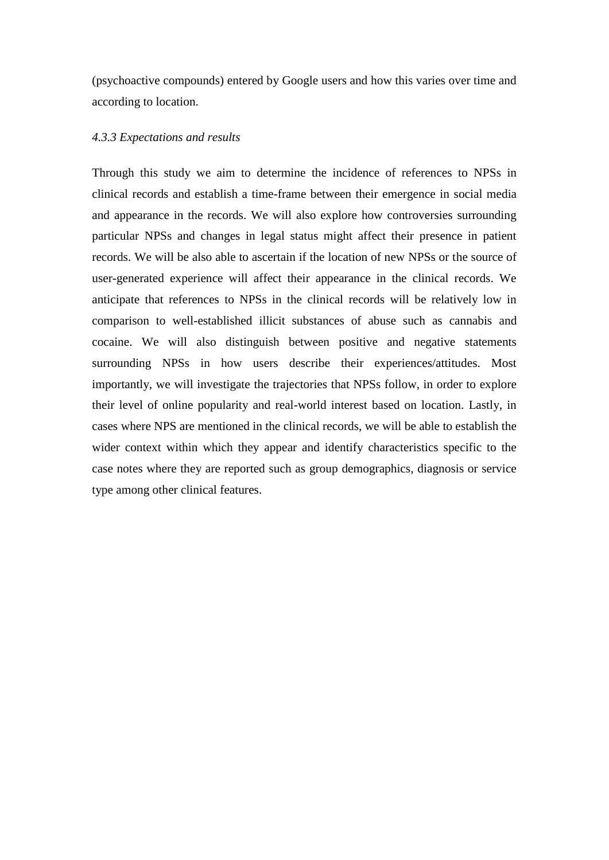(psychoactive compounds) entered by Google users and how this varies over time and according to location.

### *4.3.3 Expectations and results*

Through this study we aim to determine the incidence of references to NPSs in clinical records and establish a time-frame between their emergence in social media and appearance in the records. We will also explore how controversies surrounding particular NPSs and changes in legal status might affect their presence in patient records. We will be also able to ascertain if the location of new NPSs or the source of user-generated experience will affect their appearance in the clinical records. We anticipate that references to NPSs in the clinical records will be relatively low in comparison to well-established illicit substances of abuse such as cannabis and cocaine. We will also distinguish between positive and negative statements surrounding NPSs in how users describe their experiences/attitudes. Most importantly, we will investigate the trajectories that NPSs follow, in order to explore their level of online popularity and real-world interest based on location. Lastly, in cases where NPS are mentioned in the clinical records, we will be able to establish the wider context within which they appear and identify characteristics specific to the case notes where they are reported such as group demographics, diagnosis or service type among other clinical features.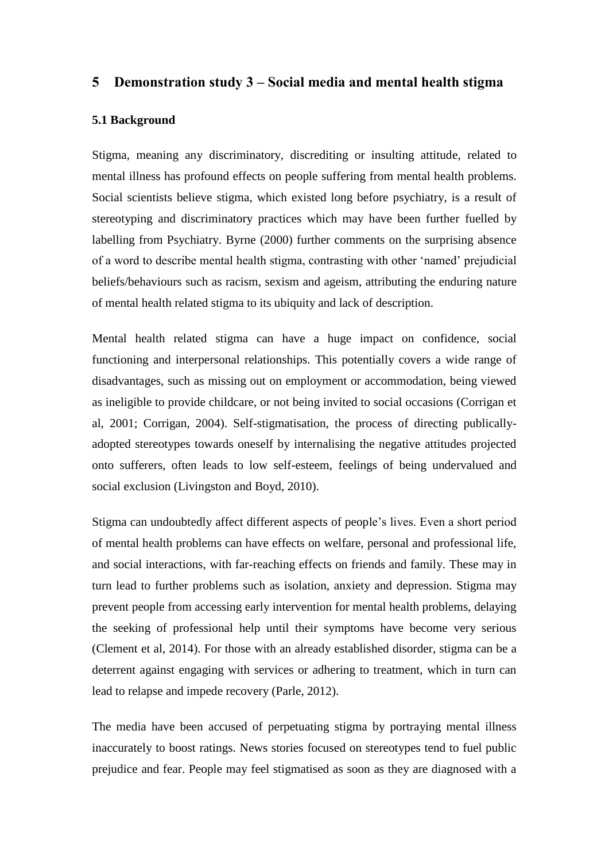### **5 Demonstration study 3 – Social media and mental health stigma**

### **5.1 Background**

Stigma, meaning any discriminatory, discrediting or insulting attitude, related to mental illness has profound effects on people suffering from mental health problems. Social scientists believe stigma, which existed long before psychiatry, is a result of stereotyping and discriminatory practices which may have been further fuelled by labelling from Psychiatry. Byrne (2000) further comments on the surprising absence of a word to describe mental health stigma, contrasting with other 'named' prejudicial beliefs/behaviours such as racism, sexism and ageism, attributing the enduring nature of mental health related stigma to its ubiquity and lack of description.

Mental health related stigma can have a huge impact on confidence, social functioning and interpersonal relationships. This potentially covers a wide range of disadvantages, such as missing out on employment or accommodation, being viewed as ineligible to provide childcare, or not being invited to social occasions (Corrigan et al, 2001; Corrigan, 2004). Self-stigmatisation, the process of directing publicallyadopted stereotypes towards oneself by internalising the negative attitudes projected onto sufferers, often leads to low self-esteem, feelings of being undervalued and social exclusion (Livingston and Boyd, 2010).

Stigma can undoubtedly affect different aspects of people's lives. Even a short period of mental health problems can have effects on welfare, personal and professional life, and social interactions, with far-reaching effects on friends and family. These may in turn lead to further problems such as isolation, anxiety and depression. Stigma may prevent people from accessing early intervention for mental health problems, delaying the seeking of professional help until their symptoms have become very serious (Clement et al, 2014). For those with an already established disorder, stigma can be a deterrent against engaging with services or adhering to treatment, which in turn can lead to relapse and impede recovery (Parle, 2012).

The media have been accused of perpetuating stigma by portraying mental illness inaccurately to boost ratings. News stories focused on stereotypes tend to fuel public prejudice and fear. People may feel stigmatised as soon as they are diagnosed with a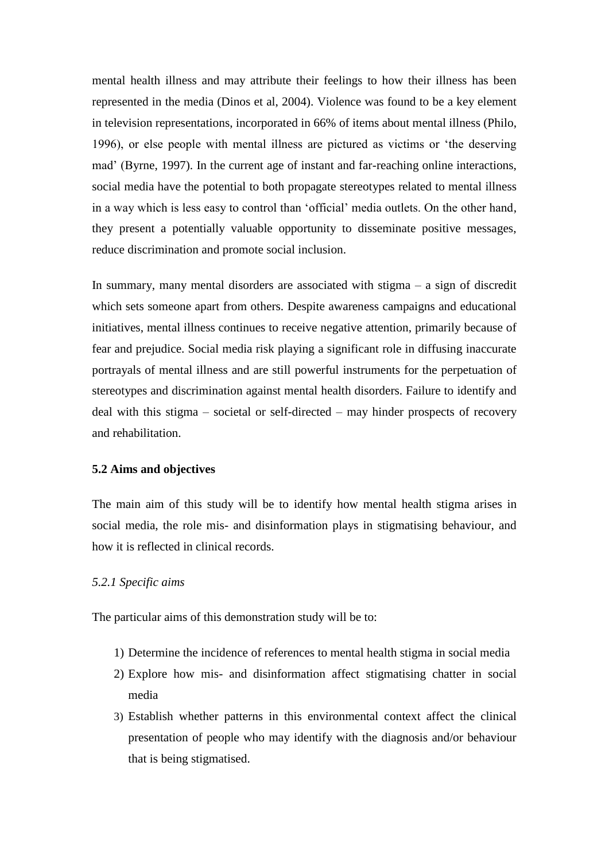mental health illness and may attribute their feelings to how their illness has been represented in the media (Dinos et al, 2004). Violence was found to be a key element in television representations, incorporated in 66% of items about mental illness (Philo, 1996), or else people with mental illness are pictured as victims or 'the deserving mad' (Byrne, 1997). In the current age of instant and far-reaching online interactions, social media have the potential to both propagate stereotypes related to mental illness in a way which is less easy to control than 'official' media outlets. On the other hand, they present a potentially valuable opportunity to disseminate positive messages, reduce discrimination and promote social inclusion.

In summary, many mental disorders are associated with stigma – a sign of discredit which sets someone apart from others. Despite awareness campaigns and educational initiatives, mental illness continues to receive negative attention, primarily because of fear and prejudice. Social media risk playing a significant role in diffusing inaccurate portrayals of mental illness and are still powerful instruments for the perpetuation of stereotypes and discrimination against mental health disorders. Failure to identify and deal with this stigma – societal or self-directed – may hinder prospects of recovery and rehabilitation.

### **5.2 Aims and objectives**

The main aim of this study will be to identify how mental health stigma arises in social media, the role mis- and disinformation plays in stigmatising behaviour, and how it is reflected in clinical records.

### *5.2.1 Specific aims*

The particular aims of this demonstration study will be to:

- 1) Determine the incidence of references to mental health stigma in social media
- 2) Explore how mis- and disinformation affect stigmatising chatter in social media
- 3) Establish whether patterns in this environmental context affect the clinical presentation of people who may identify with the diagnosis and/or behaviour that is being stigmatised.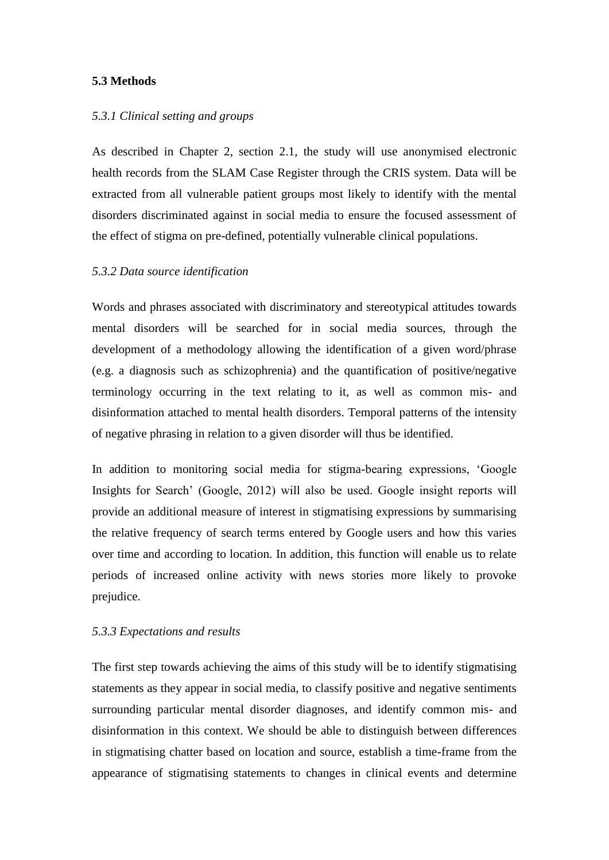### **5.3 Methods**

### *5.3.1 Clinical setting and groups*

As described in Chapter 2, section 2.1, the study will use anonymised electronic health records from the SLAM Case Register through the CRIS system. Data will be extracted from all vulnerable patient groups most likely to identify with the mental disorders discriminated against in social media to ensure the focused assessment of the effect of stigma on pre-defined, potentially vulnerable clinical populations.

### *5.3.2 Data source identification*

Words and phrases associated with discriminatory and stereotypical attitudes towards mental disorders will be searched for in social media sources, through the development of a methodology allowing the identification of a given word/phrase (e.g. a diagnosis such as schizophrenia) and the quantification of positive/negative terminology occurring in the text relating to it, as well as common mis- and disinformation attached to mental health disorders. Temporal patterns of the intensity of negative phrasing in relation to a given disorder will thus be identified.

In addition to monitoring social media for stigma-bearing expressions, 'Google Insights for Search' (Google, 2012) will also be used. Google insight reports will provide an additional measure of interest in stigmatising expressions by summarising the relative frequency of search terms entered by Google users and how this varies over time and according to location. In addition, this function will enable us to relate periods of increased online activity with news stories more likely to provoke prejudice.

### *5.3.3 Expectations and results*

The first step towards achieving the aims of this study will be to identify stigmatising statements as they appear in social media, to classify positive and negative sentiments surrounding particular mental disorder diagnoses, and identify common mis- and disinformation in this context. We should be able to distinguish between differences in stigmatising chatter based on location and source, establish a time-frame from the appearance of stigmatising statements to changes in clinical events and determine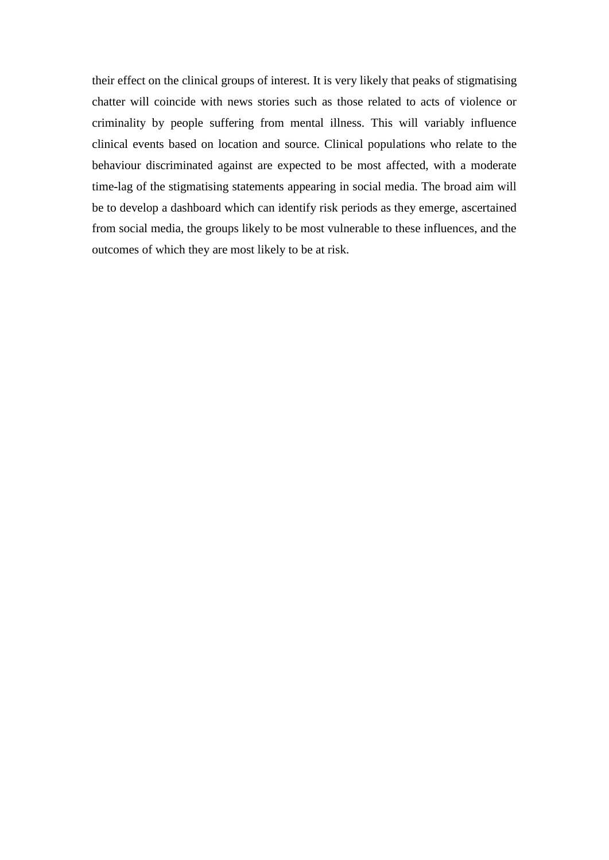their effect on the clinical groups of interest. It is very likely that peaks of stigmatising chatter will coincide with news stories such as those related to acts of violence or criminality by people suffering from mental illness. This will variably influence clinical events based on location and source. Clinical populations who relate to the behaviour discriminated against are expected to be most affected, with a moderate time-lag of the stigmatising statements appearing in social media. The broad aim will be to develop a dashboard which can identify risk periods as they emerge, ascertained from social media, the groups likely to be most vulnerable to these influences, and the outcomes of which they are most likely to be at risk.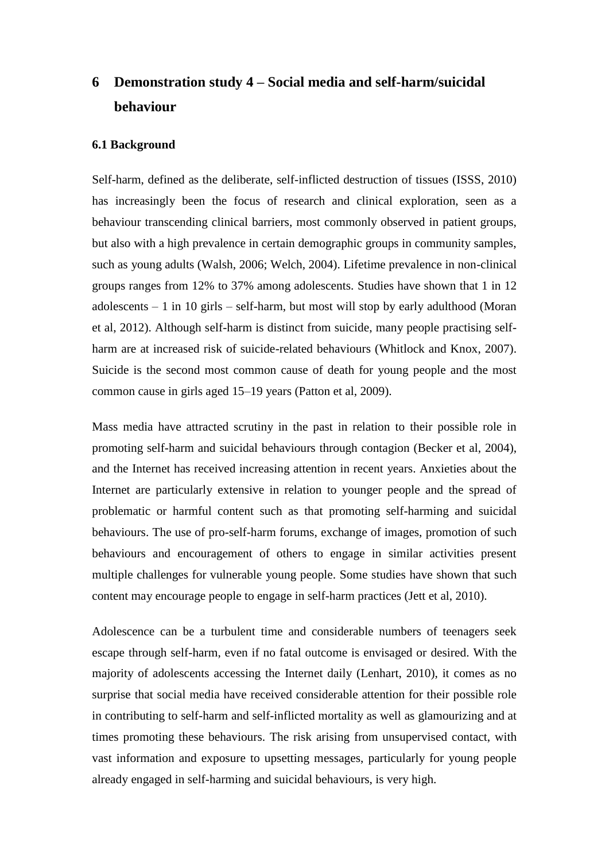# **6 Demonstration study 4 – Social media and self-harm/suicidal behaviour**

### **6.1 Background**

Self-harm, defined as the deliberate, self-inflicted destruction of tissues (ISSS, 2010) has increasingly been the focus of research and clinical exploration, seen as a behaviour transcending clinical barriers, most commonly observed in patient groups, but also with a high prevalence in certain demographic groups in community samples, such as young adults (Walsh, 2006; Welch, 2004). Lifetime prevalence in non-clinical groups ranges from 12% to 37% among adolescents. Studies have shown that 1 in 12 adolescents – 1 in 10 girls – self-harm, but most will stop by early adulthood (Moran et al, 2012). Although self-harm is distinct from suicide, many people practising selfharm are at increased risk of suicide-related behaviours (Whitlock and Knox, 2007). Suicide is the second most common cause of death for young people and the most common cause in girls aged 15–19 years (Patton et al, 2009).

Mass media have attracted scrutiny in the past in relation to their possible role in promoting self-harm and suicidal behaviours through contagion (Becker et al, 2004), and the Internet has received increasing attention in recent years. Anxieties about the Internet are particularly extensive in relation to younger people and the spread of problematic or harmful content such as that promoting self-harming and suicidal behaviours. The use of pro-self-harm forums, exchange of images, promotion of such behaviours and encouragement of others to engage in similar activities present multiple challenges for vulnerable young people. Some studies have shown that such content may encourage people to engage in self-harm practices (Jett et al, 2010).

Adolescence can be a turbulent time and considerable numbers of teenagers seek escape through self-harm, even if no fatal outcome is envisaged or desired. With the majority of adolescents accessing the Internet daily (Lenhart, 2010), it comes as no surprise that social media have received considerable attention for their possible role in contributing to self-harm and self-inflicted mortality as well as glamourizing and at times promoting these behaviours. The risk arising from unsupervised contact, with vast information and exposure to upsetting messages, particularly for young people already engaged in self-harming and suicidal behaviours, is very high.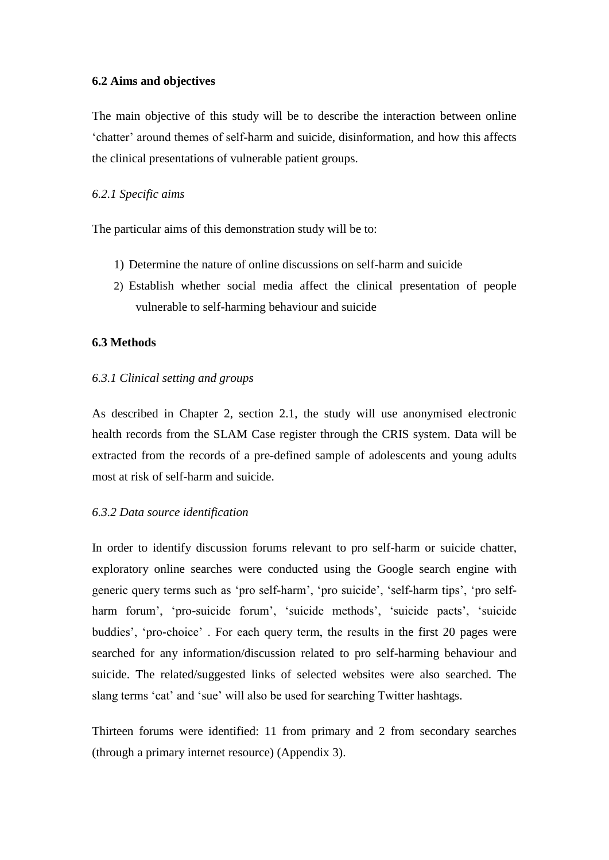### **6.2 Aims and objectives**

The main objective of this study will be to describe the interaction between online 'chatter' around themes of self-harm and suicide, disinformation, and how this affects the clinical presentations of vulnerable patient groups.

### *6.2.1 Specific aims*

The particular aims of this demonstration study will be to:

- 1) Determine the nature of online discussions on self-harm and suicide
- 2) Establish whether social media affect the clinical presentation of people vulnerable to self-harming behaviour and suicide

### **6.3 Methods**

### *6.3.1 Clinical setting and groups*

As described in Chapter 2, section 2.1, the study will use anonymised electronic health records from the SLAM Case register through the CRIS system. Data will be extracted from the records of a pre-defined sample of adolescents and young adults most at risk of self-harm and suicide.

### *6.3.2 Data source identification*

In order to identify discussion forums relevant to pro self-harm or suicide chatter, exploratory online searches were conducted using the Google search engine with generic query terms such as 'pro self-harm', 'pro suicide', 'self-harm tips', 'pro selfharm forum', 'pro-suicide forum', 'suicide methods', 'suicide pacts', 'suicide buddies', 'pro-choice' . For each query term, the results in the first 20 pages were searched for any information/discussion related to pro self-harming behaviour and suicide. The related/suggested links of selected websites were also searched. The slang terms 'cat' and 'sue' will also be used for searching Twitter hashtags.

Thirteen forums were identified: 11 from primary and 2 from secondary searches (through a primary internet resource) (Appendix 3).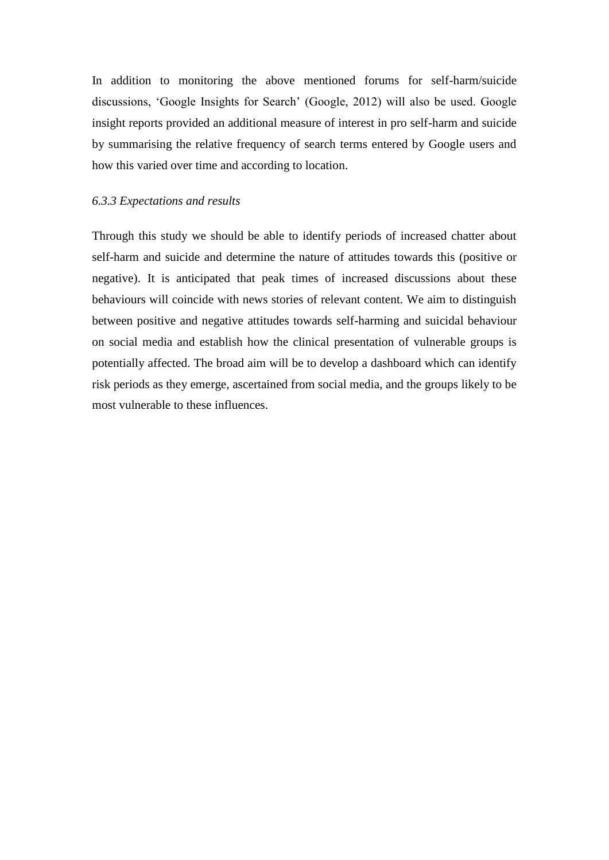In addition to monitoring the above mentioned forums for self-harm/suicide discussions, 'Google Insights for Search' (Google, 2012) will also be used. Google insight reports provided an additional measure of interest in pro self-harm and suicide by summarising the relative frequency of search terms entered by Google users and how this varied over time and according to location.

### *6.3.3 Expectations and results*

Through this study we should be able to identify periods of increased chatter about self-harm and suicide and determine the nature of attitudes towards this (positive or negative). It is anticipated that peak times of increased discussions about these behaviours will coincide with news stories of relevant content. We aim to distinguish between positive and negative attitudes towards self-harming and suicidal behaviour on social media and establish how the clinical presentation of vulnerable groups is potentially affected. The broad aim will be to develop a dashboard which can identify risk periods as they emerge, ascertained from social media, and the groups likely to be most vulnerable to these influences.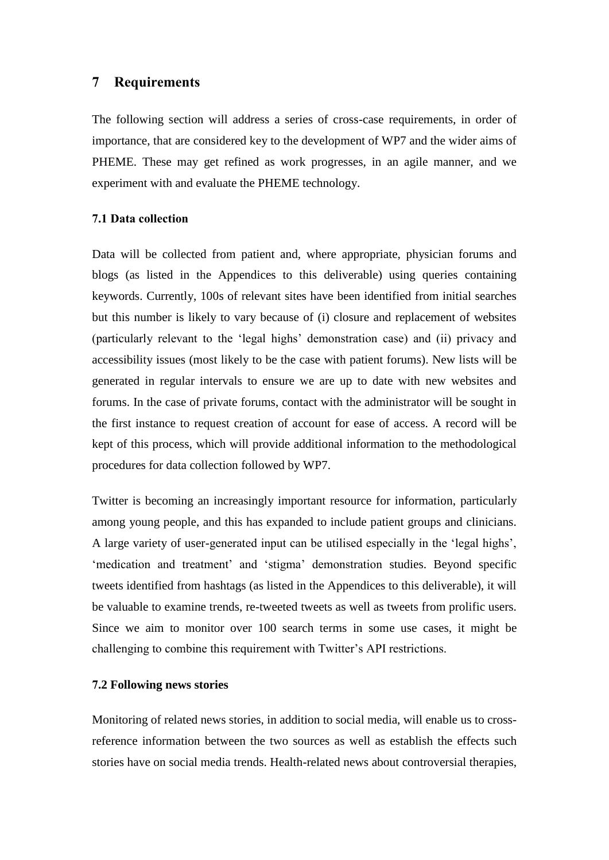### **7 Requirements**

The following section will address a series of cross-case requirements, in order of importance, that are considered key to the development of WP7 and the wider aims of PHEME. These may get refined as work progresses, in an agile manner, and we experiment with and evaluate the PHEME technology.

### **7.1 Data collection**

Data will be collected from patient and, where appropriate, physician forums and blogs (as listed in the Appendices to this deliverable) using queries containing keywords. Currently, 100s of relevant sites have been identified from initial searches but this number is likely to vary because of (i) closure and replacement of websites (particularly relevant to the 'legal highs' demonstration case) and (ii) privacy and accessibility issues (most likely to be the case with patient forums). New lists will be generated in regular intervals to ensure we are up to date with new websites and forums. In the case of private forums, contact with the administrator will be sought in the first instance to request creation of account for ease of access. A record will be kept of this process, which will provide additional information to the methodological procedures for data collection followed by WP7.

Twitter is becoming an increasingly important resource for information, particularly among young people, and this has expanded to include patient groups and clinicians. A large variety of user-generated input can be utilised especially in the 'legal highs', 'medication and treatment' and 'stigma' demonstration studies. Beyond specific tweets identified from hashtags (as listed in the Appendices to this deliverable), it will be valuable to examine trends, re-tweeted tweets as well as tweets from prolific users. Since we aim to monitor over 100 search terms in some use cases, it might be challenging to combine this requirement with Twitter's API restrictions.

### **7.2 Following news stories**

Monitoring of related news stories, in addition to social media, will enable us to crossreference information between the two sources as well as establish the effects such stories have on social media trends. Health-related news about controversial therapies,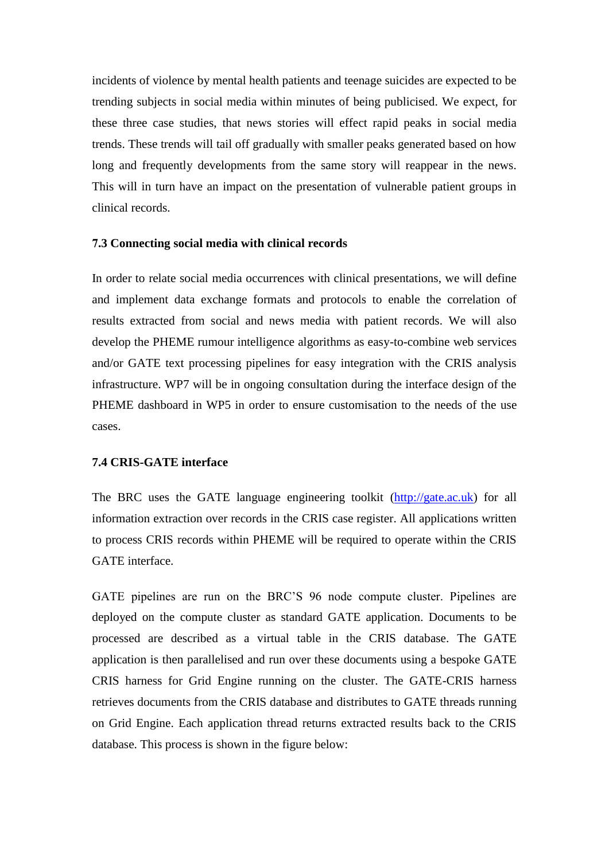incidents of violence by mental health patients and teenage suicides are expected to be trending subjects in social media within minutes of being publicised. We expect, for these three case studies, that news stories will effect rapid peaks in social media trends. These trends will tail off gradually with smaller peaks generated based on how long and frequently developments from the same story will reappear in the news. This will in turn have an impact on the presentation of vulnerable patient groups in clinical records.

### **7.3 Connecting social media with clinical records**

In order to relate social media occurrences with clinical presentations, we will define and implement data exchange formats and protocols to enable the correlation of results extracted from social and news media with patient records. We will also develop the PHEME rumour intelligence algorithms as easy-to-combine web services and/or GATE text processing pipelines for easy integration with the CRIS analysis infrastructure. WP7 will be in ongoing consultation during the interface design of the PHEME dashboard in WP5 in order to ensure customisation to the needs of the use cases.

### **7.4 CRIS-GATE interface**

The BRC uses the GATE language engineering toolkit [\(http://gate.ac.uk\)](http://gate.ac.uk/) for all information extraction over records in the CRIS case register. All applications written to process CRIS records within PHEME will be required to operate within the CRIS GATE interface.

GATE pipelines are run on the BRC'S 96 node compute cluster. Pipelines are deployed on the compute cluster as standard GATE application. Documents to be processed are described as a virtual table in the CRIS database. The GATE application is then parallelised and run over these documents using a bespoke GATE CRIS harness for Grid Engine running on the cluster. The GATE-CRIS harness retrieves documents from the CRIS database and distributes to GATE threads running on Grid Engine. Each application thread returns extracted results back to the CRIS database. This process is shown in the figure below: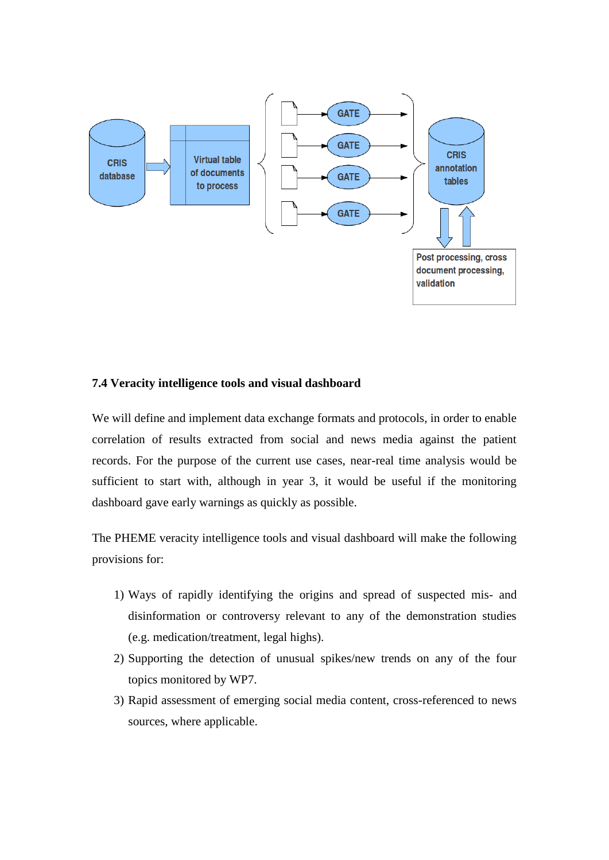

### **7.4 Veracity intelligence tools and visual dashboard**

We will define and implement data exchange formats and protocols, in order to enable correlation of results extracted from social and news media against the patient records. For the purpose of the current use cases, near-real time analysis would be sufficient to start with, although in year 3, it would be useful if the monitoring dashboard gave early warnings as quickly as possible.

The PHEME veracity intelligence tools and visual dashboard will make the following provisions for:

- 1) Ways of rapidly identifying the origins and spread of suspected mis- and disinformation or controversy relevant to any of the demonstration studies (e.g. medication/treatment, legal highs).
- 2) Supporting the detection of unusual spikes/new trends on any of the four topics monitored by WP7.
- 3) Rapid assessment of emerging social media content, cross-referenced to news sources, where applicable.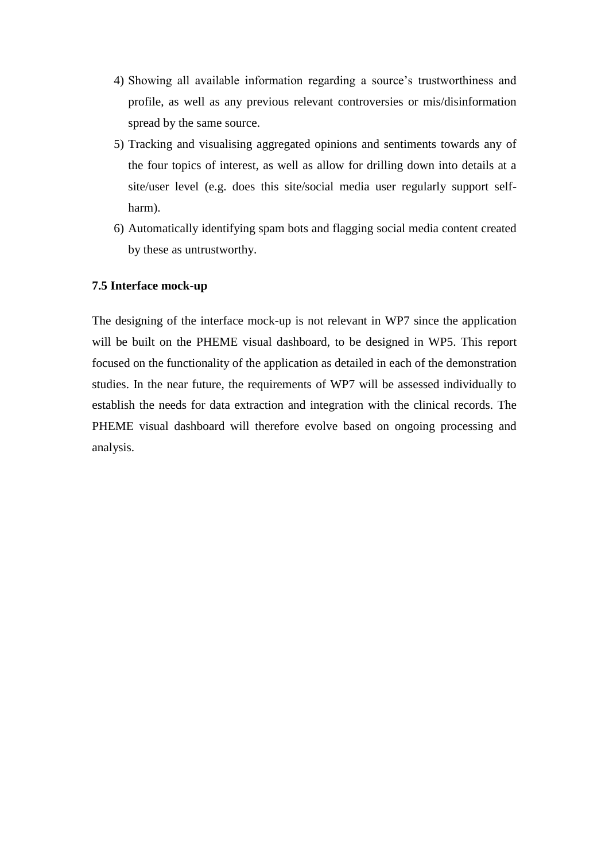- 4) Showing all available information regarding a source's trustworthiness and profile, as well as any previous relevant controversies or mis/disinformation spread by the same source.
- 5) Tracking and visualising aggregated opinions and sentiments towards any of the four topics of interest, as well as allow for drilling down into details at a site/user level (e.g. does this site/social media user regularly support selfharm).
- 6) Automatically identifying spam bots and flagging social media content created by these as untrustworthy.

### **7.5 Interface mock-up**

The designing of the interface mock-up is not relevant in WP7 since the application will be built on the PHEME visual dashboard, to be designed in WP5. This report focused on the functionality of the application as detailed in each of the demonstration studies. In the near future, the requirements of WP7 will be assessed individually to establish the needs for data extraction and integration with the clinical records. The PHEME visual dashboard will therefore evolve based on ongoing processing and analysis.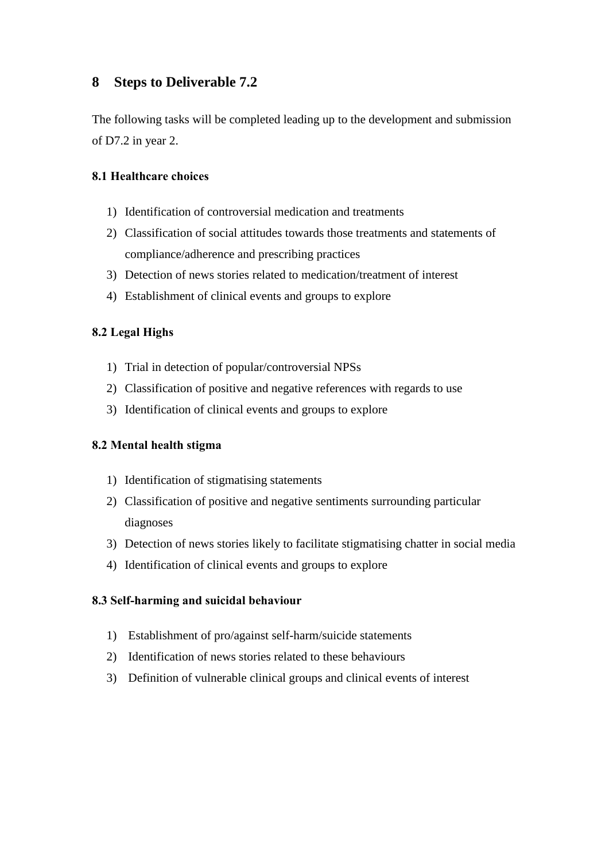### **8 Steps to Deliverable 7.2**

The following tasks will be completed leading up to the development and submission of D7.2 in year 2.

### **8.1 Healthcare choices**

- 1) Identification of controversial medication and treatments
- 2) Classification of social attitudes towards those treatments and statements of compliance/adherence and prescribing practices
- 3) Detection of news stories related to medication/treatment of interest
- 4) Establishment of clinical events and groups to explore

### **8.2 Legal Highs**

- 1) Trial in detection of popular/controversial NPSs
- 2) Classification of positive and negative references with regards to use
- 3) Identification of clinical events and groups to explore

### **8.2 Mental health stigma**

- 1) Identification of stigmatising statements
- 2) Classification of positive and negative sentiments surrounding particular diagnoses
- 3) Detection of news stories likely to facilitate stigmatising chatter in social media
- 4) Identification of clinical events and groups to explore

### **8.3 Self-harming and suicidal behaviour**

- 1) Establishment of pro/against self-harm/suicide statements
- 2) Identification of news stories related to these behaviours
- 3) Definition of vulnerable clinical groups and clinical events of interest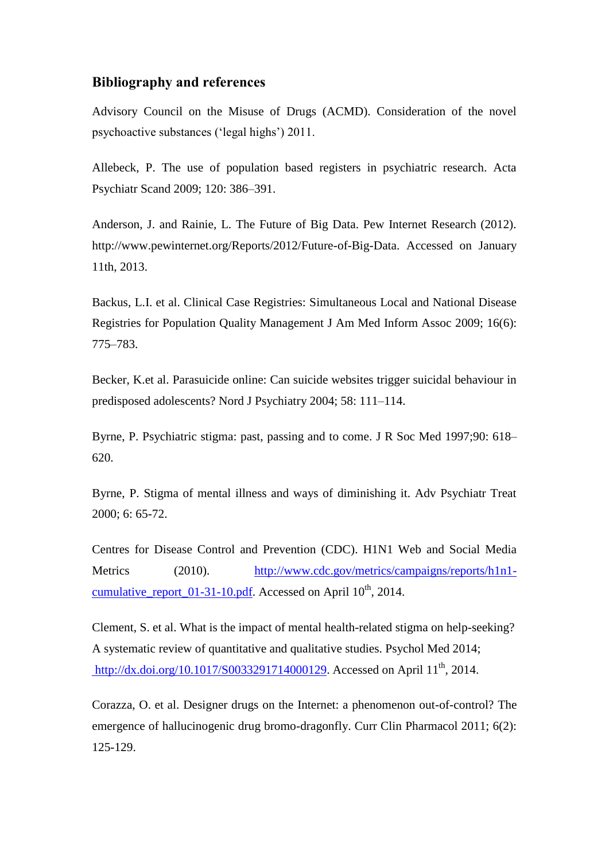### **Bibliography and references**

Advisory Council on the Misuse of Drugs (ACMD). Consideration of the novel psychoactive substances ('legal highs') 2011.

Allebeck, P. The use of population based registers in psychiatric research. Acta Psychiatr Scand 2009; 120: 386–391.

Anderson, J. and Rainie, L. The Future of Big Data. Pew Internet Research (2012). http://www.pewinternet.org/Reports/2012/Future-of-Big-Data. Accessed on January 11th, 2013.

Backus, L.I. et al. Clinical Case Registries: Simultaneous Local and National Disease Registries for Population Quality Management J Am Med Inform Assoc 2009; 16(6): 775–783.

Becker, K.et al. Parasuicide online: Can suicide websites trigger suicidal behaviour in predisposed adolescents? Nord J Psychiatry 2004; 58: 111–114.

Byrne, P. Psychiatric stigma: past, passing and to come. J R Soc Med 1997;90: 618– 620.

Byrne, P. Stigma of mental illness and ways of diminishing it. Adv Psychiatr Treat 2000; 6: 65-72.

Centres for Disease Control and Prevention (CDC). H1N1 Web and Social Media Metrics (2010). [http://www.cdc.gov/metrics/campaigns/reports/h1n1](http://www.cdc.gov/metrics/campaigns/reports/h1n1-cumulative_report_01-31-10.pdf) [cumulative\\_report\\_01-31-10.pdf.](http://www.cdc.gov/metrics/campaigns/reports/h1n1-cumulative_report_01-31-10.pdf) Accessed on April  $10^{th}$ , 2014.

Clement, S. et al. What is the impact of mental health-related stigma on help-seeking? A systematic review of quantitative and qualitative studies. Psychol Med 2014; [http://dx.doi.org/10.1017/S0033291714000129.](http://dx.doi.org/10.1017/S0033291714000129) Accessed on April  $11^{th}$ , 2014.

Corazza, O. et al. Designer drugs on the Internet: a phenomenon out-of-control? The emergence of hallucinogenic drug bromo-dragonfly. Curr Clin Pharmacol 2011; 6(2): 125-129.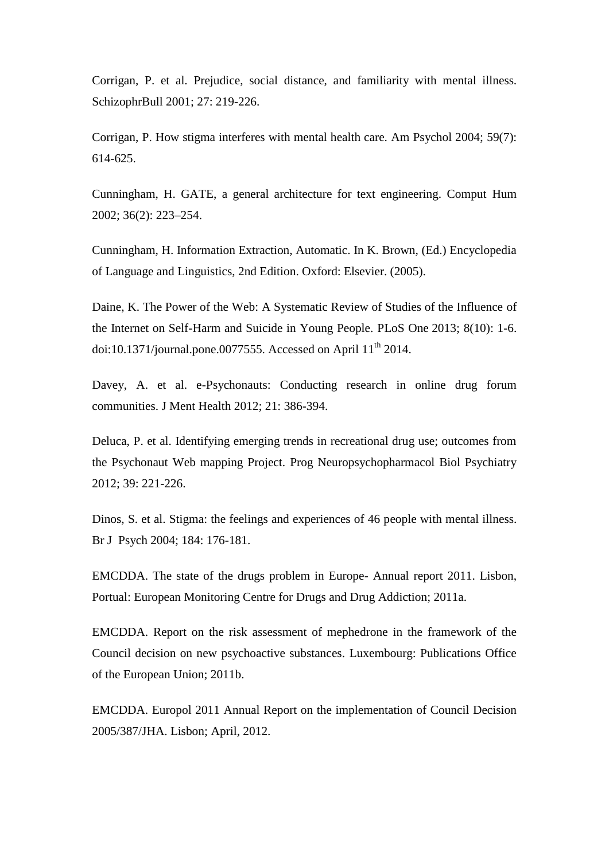Corrigan, P. et al. Prejudice, social distance, and familiarity with mental illness. SchizophrBull 2001; 27: 219-226.

Corrigan, P. How stigma interferes with mental health care. Am Psychol 2004; 59(7): 614-625.

Cunningham, H. GATE, a general architecture for text engineering. Comput Hum 2002; 36(2): 223–254.

Cunningham, H. Information Extraction, Automatic. In K. Brown, (Ed.) Encyclopedia of Language and Linguistics, 2nd Edition. Oxford: Elsevier. (2005).

Daine, K. The Power of the Web: A Systematic Review of Studies of the Influence of the Internet on Self-Harm and Suicide in Young People. PLoS One 2013; 8(10): 1-6. doi:10.1371/journal.pone.0077555. Accessed on April  $11<sup>th</sup>$  2014.

Davey, A. et al. e-Psychonauts: Conducting research in online drug forum communities. J Ment Health 2012; 21: 386-394.

Deluca, P. et al. Identifying emerging trends in recreational drug use; outcomes from the Psychonaut Web mapping Project. Prog Neuropsychopharmacol Biol Psychiatry 2012; 39: 221-226.

Dinos, S. et al. Stigma: the feelings and experiences of 46 people with mental illness. Br J Psych 2004; 184: 176-181.

EMCDDA. The state of the drugs problem in Europe- Annual report 2011. Lisbon, Portual: European Monitoring Centre for Drugs and Drug Addiction; 2011a.

EMCDDA. Report on the risk assessment of mephedrone in the framework of the Council decision on new psychoactive substances. Luxembourg: Publications Office of the European Union; 2011b.

EMCDDA. Europol 2011 Annual Report on the implementation of Council Decision 2005/387/JHA. Lisbon; April, 2012.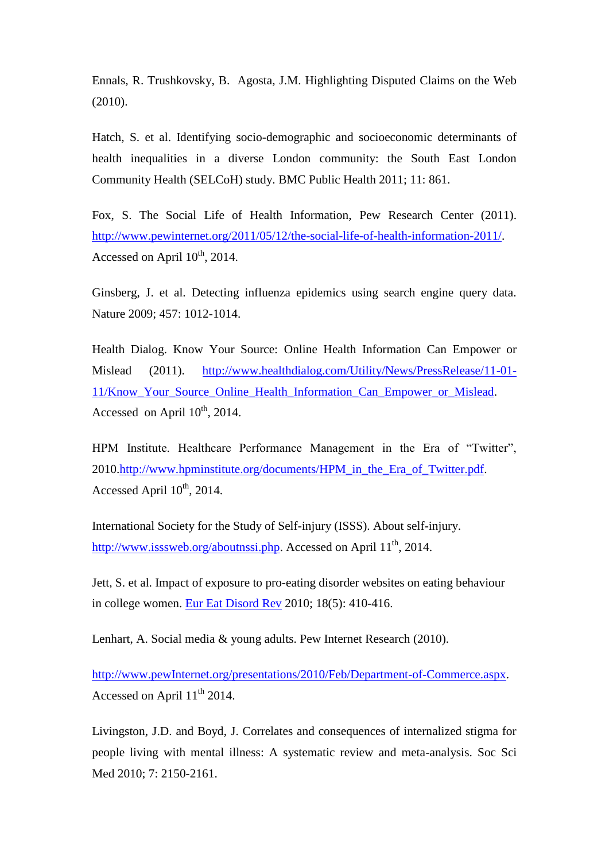Ennals, R. Trushkovsky, B. Agosta, J.M. Highlighting Disputed Claims on the Web (2010).

Hatch, S. et al. Identifying socio-demographic and socioeconomic determinants of health inequalities in a diverse London community: the South East London Community Health (SELCoH) study. BMC Public Health 2011; 11: 861.

Fox, S. The Social Life of Health Information, Pew Research Center (2011). [http://www.pewinternet.org/2011/05/12/the-social-life-of-health-information-2011/.](http://www.pewinternet.org/2011/05/12/the-social-life-of-health-information-2011/) Accessed on April  $10^{th}$ , 2014.

Ginsberg, J. et al. Detecting influenza epidemics using search engine query data. Nature 2009; 457: 1012-1014.

Health Dialog. Know Your Source: Online Health Information Can Empower or Mislead (2011). [http://www.healthdialog.com/Utility/News/PressRelease/11-01-](http://www.healthdialog.com/Utility/News/PressRelease/11-01-11/Know_Your_Source_Online_Health_Information_Can_Empower_or_Mislead) [11/Know\\_Your\\_Source\\_Online\\_Health\\_Information\\_Can\\_Empower\\_or\\_Mislead.](http://www.healthdialog.com/Utility/News/PressRelease/11-01-11/Know_Your_Source_Online_Health_Information_Can_Empower_or_Mislead) Accessed on April  $10^{th}$ , 2014.

HPM Institute. Healthcare Performance Management in the Era of "Twitter", 2010[.http://www.hpminstitute.org/documents/HPM\\_in\\_the\\_Era\\_of\\_Twitter.pdf.](http://www.hpminstitute.org/documents/HPM_in_the_Era_of_Twitter.pdf) Accessed April  $10^{th}$ , 2014.

International Society for the Study of Self-injury (ISSS). About self-injury. [http://www.isssweb.org/aboutnssi.php.](http://www.isssweb.org/aboutnssi.php) Accessed on April 11<sup>th</sup>, 2014.

Jett, S. et al. Impact of exposure to pro-eating disorder websites on eating behaviour in college women. [Eur Eat Disord Rev](http://www.ncbi.nlm.nih.gov/pubmed/?term=Impact+of+Exposure+to+Pro-Eating+Disorder+Websites+on+Eating+Behaviour+in+College+Women) 2010; 18(5): 410-416.

Lenhart, A. Social media & young adults. Pew Internet Research (2010).

[http://www.pewInternet.org/presentations/2010/Feb/Department-of-Commerce.aspx.](http://www.pewinternet.org/presentations/2010/Feb/Department-of-Commerce.aspx) Accessed on April  $11<sup>th</sup> 2014$ .

Livingston, J.D. and Boyd, J. Correlates and consequences of internalized stigma for people living with mental illness: A systematic review and meta-analysis. Soc Sci Med 2010; 7: 2150-2161.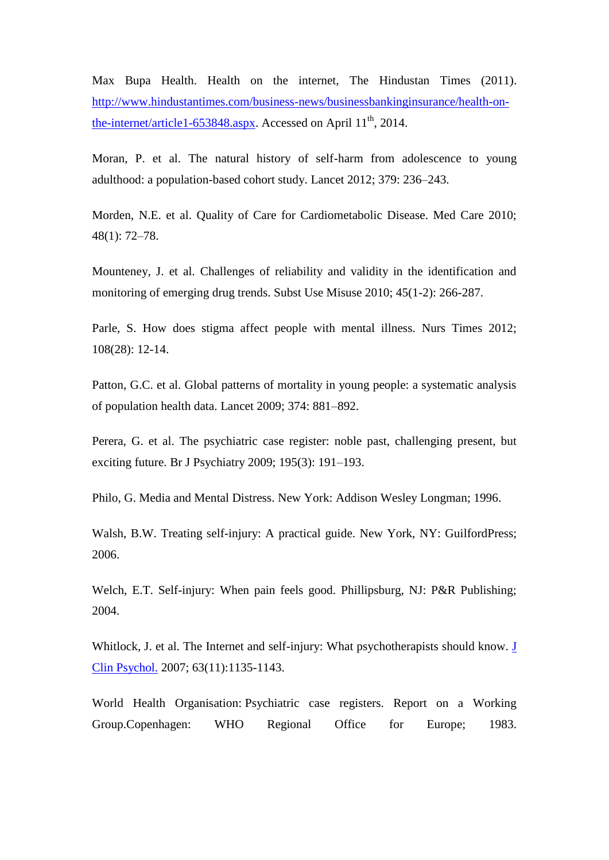Max Bupa Health. Health on the internet, The Hindustan Times (2011). [http://www.hindustantimes.com/business-news/businessbankinginsurance/health-on](http://www.hindustantimes.com/business-news/businessbankinginsurance/health-on-the-internet/article1-653848.aspx)[the-internet/article1-653848.aspx.](http://www.hindustantimes.com/business-news/businessbankinginsurance/health-on-the-internet/article1-653848.aspx) Accessed on April 11<sup>th</sup>, 2014.

Moran, P. et al. The natural history of self-harm from adolescence to young adulthood: a population-based cohort study. Lancet 2012; 379: 236–243.

Morden, N.E. et al. Quality of Care for Cardiometabolic Disease. Med Care 2010; 48(1): 72–78.

Mounteney, J. et al. Challenges of reliability and validity in the identification and monitoring of emerging drug trends. Subst Use Misuse 2010; 45(1-2): 266-287.

Parle, S. How does stigma affect people with mental illness. Nurs Times 2012; 108(28): 12-14.

Patton, G.C. et al. Global patterns of mortality in young people: a systematic analysis of population health data. Lancet 2009; 374: 881–892.

Perera, G. et al. The psychiatric case register: noble past, challenging present, but exciting future. Br J Psychiatry 2009; 195(3): 191–193.

Philo, G. Media and Mental Distress. New York: Addison Wesley Longman; 1996.

Walsh, B.W. Treating self-injury: A practical guide. New York, NY: GuilfordPress; 2006.

Welch, E.T. Self-injury: When pain feels good. Phillipsburg, NJ: P&R Publishing; 2004.

Whitlock, J. et al. The Internet and self-injury: What psychotherapists should know. J [Clin Psychol.](http://www.ncbi.nlm.nih.gov/pubmed/?term=The+Internet+and+self-injury%3A+What+psychotherapists+should+know.) 2007; 63(11):1135-1143.

World Health Organisation: Psychiatric case registers. Report on a Working Group.Copenhagen: WHO Regional Office for Europe; 1983.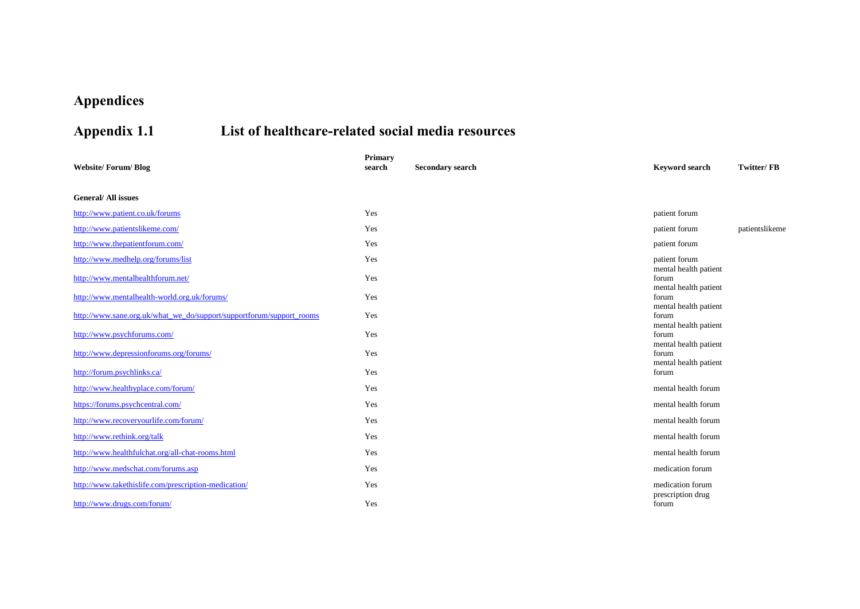# **Appendices**

# **Appendix 1.1 List of healthcare-related social media resources**

| <b>Website/Forum/Blog</b>                                            | Primary<br>search | <b>Secondary search</b> | <b>Keyword search</b>                                   | Twitter/FB     |
|----------------------------------------------------------------------|-------------------|-------------------------|---------------------------------------------------------|----------------|
| <b>General/All issues</b>                                            |                   |                         |                                                         |                |
| http://www.patient.co.uk/forums                                      | Yes               |                         | patient forum                                           |                |
| http://www.patientslikeme.com/                                       | Yes               |                         | patient forum                                           | patientslikeme |
| http://www.thepatientforum.com/                                      | Yes               |                         | patient forum                                           |                |
| http://www.medhelp.org/forums/list                                   | Yes               |                         | patient forum                                           |                |
| http://www.mentalhealthforum.net/                                    | Yes               |                         | mental health patient<br>forum                          |                |
| http://www.mentalhealth-world.org.uk/forums/                         | Yes               |                         | mental health patient<br>forum<br>mental health patient |                |
| http://www.sane.org.uk/what_we_do/support/supportforum/support_rooms | Yes               |                         | forum                                                   |                |
| http://www.psychforums.com/                                          | Yes               |                         | mental health patient<br>forum<br>mental health patient |                |
| http://www.depressionforums.org/forums/                              | Yes               |                         | forum                                                   |                |
| http://forum.psychlinks.ca/                                          | Yes               |                         | mental health patient<br>forum                          |                |
| http://www.healthyplace.com/forum/                                   | Yes               |                         | mental health forum                                     |                |
| https://forums.psychcentral.com/                                     | Yes               |                         | mental health forum                                     |                |
| http://www.recoveryourlife.com/forum/                                | Yes               |                         | mental health forum                                     |                |
| http://www.rethink.org/talk                                          | Yes               |                         | mental health forum                                     |                |
| http://www.healthfulchat.org/all-chat-rooms.html                     | Yes               |                         | mental health forum                                     |                |
| http://www.medschat.com/forums.asp                                   | Yes               |                         | medication forum                                        |                |
| http://www.takethislife.com/prescription-medication/                 | Yes               |                         | medication forum<br>prescription drug                   |                |
| http://www.drugs.com/forum/                                          | Yes               |                         | forum                                                   |                |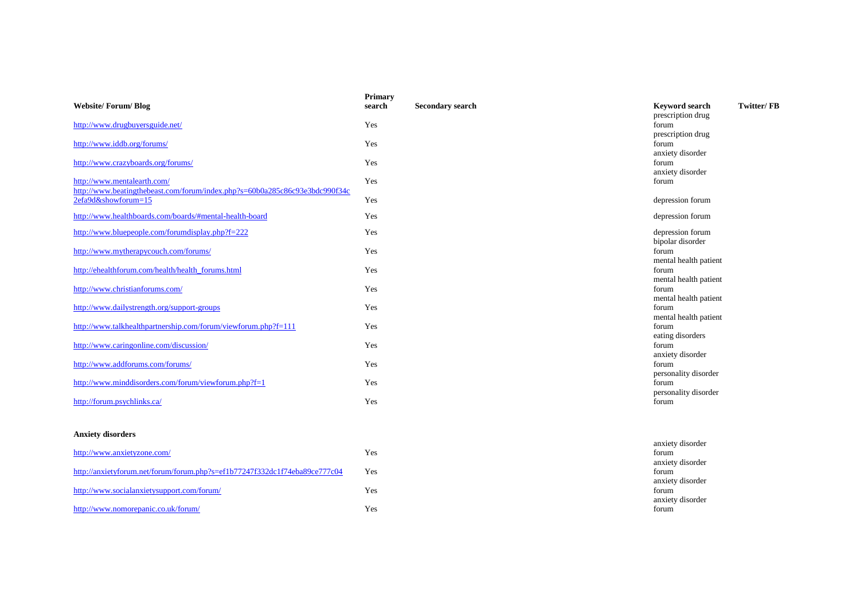| <b>Website/Forum/Blog</b>                                                                                  | Primary<br>search | <b>Secondary search</b> | <b>Keyword search</b>                                   | Twitter/FB |
|------------------------------------------------------------------------------------------------------------|-------------------|-------------------------|---------------------------------------------------------|------------|
| http://www.drugbuyersguide.net/                                                                            | Yes               |                         | prescription drug<br>forum                              |            |
|                                                                                                            |                   |                         | prescription drug                                       |            |
| http://www.iddb.org/forums/                                                                                | Yes               |                         | forum                                                   |            |
| http://www.crazyboards.org/forums/                                                                         | Yes               |                         | anxiety disorder<br>forum<br>anxiety disorder           |            |
| http://www.mentalearth.com/<br>http://www.beatingthebeast.com/forum/index.php?s=60b0a285c86c93e3bdc990f34c | Yes               |                         | forum                                                   |            |
| 2efa9d&showforum=15                                                                                        | Yes               |                         | depression forum                                        |            |
| http://www.healthboards.com/boards/#mental-health-board                                                    | Yes               |                         | depression forum                                        |            |
| http://www.bluepeople.com/forumdisplay.php?f=222                                                           | Yes               |                         | depression forum                                        |            |
| http://www.mytherapycouch.com/forums/                                                                      | Yes               |                         | bipolar disorder<br>forum                               |            |
| http://ehealthforum.com/health/health_forums.html                                                          | Yes               |                         | mental health patient<br>forum                          |            |
| http://www.christianforums.com/                                                                            | Yes               |                         | mental health patient<br>forum<br>mental health patient |            |
| http://www.dailystrength.org/support-groups                                                                | Yes               |                         | forum<br>mental health patient                          |            |
| http://www.talkhealthpartnership.com/forum/viewforum.php?f=111                                             | Yes               |                         | forum<br>eating disorders                               |            |
| http://www.caringonline.com/discussion/                                                                    | Yes               |                         | forum<br>anxiety disorder                               |            |
| http://www.addforums.com/forums/                                                                           | Yes               |                         | forum<br>personality disorder                           |            |
| http://www.minddisorders.com/forum/viewforum.php?f=1                                                       | Yes               |                         | forum<br>personality disorder                           |            |
| http://forum.psychlinks.ca/                                                                                | Yes               |                         | forum                                                   |            |
| <b>Anxiety disorders</b>                                                                                   |                   |                         |                                                         |            |
|                                                                                                            |                   |                         | anxiety disorder                                        |            |
| http://www.anxietyzone.com/                                                                                | Yes               |                         | forum<br>anxiety disorder                               |            |
| http://anxietyforum.net/forum/forum.php?s=ef1b77247f332dc1f74eba89ce777c04                                 | Yes               |                         | forum<br>anxiety disorder                               |            |
| http://www.socialanxietysupport.com/forum/                                                                 | Yes               |                         | forum<br>anxiety disorder                               |            |
| http://www.nomorepanic.co.uk/forum/                                                                        | Yes               |                         | forum                                                   |            |
|                                                                                                            |                   |                         |                                                         |            |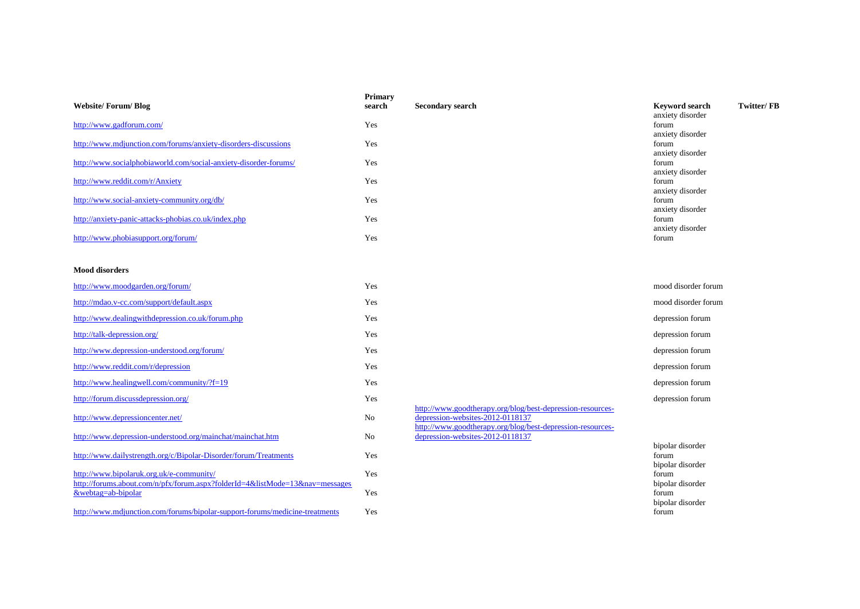| <b>Website/Forum/Blog</b>                                                                                                | <b>Primary</b><br>search | Secondary search                                                                                                                                             | <b>Keyword search</b>                         | <b>Twitter/FB</b> |
|--------------------------------------------------------------------------------------------------------------------------|--------------------------|--------------------------------------------------------------------------------------------------------------------------------------------------------------|-----------------------------------------------|-------------------|
| http://www.gadforum.com/                                                                                                 | Yes                      |                                                                                                                                                              | anxiety disorder<br>forum<br>anxiety disorder |                   |
| http://www.mdjunction.com/forums/anxiety-disorders-discussions                                                           | Yes                      |                                                                                                                                                              | forum<br>anxiety disorder                     |                   |
| http://www.socialphobiaworld.com/social-anxiety-disorder-forums/                                                         | Yes                      |                                                                                                                                                              | forum<br>anxiety disorder                     |                   |
| http://www.reddit.com/r/Anxiety                                                                                          | Yes                      |                                                                                                                                                              | forum<br>anxiety disorder                     |                   |
| http://www.social-anxiety-community.org/db/                                                                              | Yes                      |                                                                                                                                                              | forum<br>anxiety disorder                     |                   |
| http://anxiety-panic-attacks-phobias.co.uk/index.php                                                                     | Yes                      |                                                                                                                                                              | forum<br>anxiety disorder                     |                   |
| http://www.phobiasupport.org/forum/                                                                                      | Yes                      |                                                                                                                                                              | forum                                         |                   |
| <b>Mood disorders</b>                                                                                                    |                          |                                                                                                                                                              |                                               |                   |
| http://www.moodgarden.org/forum/                                                                                         | Yes                      |                                                                                                                                                              | mood disorder forum                           |                   |
| http://mdao.v-cc.com/support/default.aspx                                                                                | Yes                      |                                                                                                                                                              | mood disorder forum                           |                   |
| http://www.dealingwithdepression.co.uk/forum.php                                                                         | Yes                      |                                                                                                                                                              | depression forum                              |                   |
| http://talk-depression.org/                                                                                              | Yes                      |                                                                                                                                                              | depression forum                              |                   |
| http://www.depression-understood.org/forum/                                                                              | Yes                      |                                                                                                                                                              | depression forum                              |                   |
| http://www.reddit.com/r/depression                                                                                       | Yes                      |                                                                                                                                                              | depression forum                              |                   |
| http://www.healingwell.com/community/?f=19                                                                               | Yes                      |                                                                                                                                                              | depression forum                              |                   |
| http://forum.discussdepression.org/                                                                                      | Yes                      |                                                                                                                                                              | depression forum                              |                   |
| http://www.depressioncenter.net/                                                                                         | No                       | http://www.goodtherapy.org/blog/best-depression-resources-<br>depression-websites-2012-0118137<br>http://www.goodtherapy.org/blog/best-depression-resources- |                                               |                   |
| http://www.depression-understood.org/mainchat/mainchat.htm                                                               | No                       | depression-websites-2012-0118137                                                                                                                             |                                               |                   |
| http://www.dailystrength.org/c/Bipolar-Disorder/forum/Treatments                                                         | Yes                      |                                                                                                                                                              | bipolar disorder<br>forum<br>bipolar disorder |                   |
| http://www.bipolaruk.org.uk/e-community/<br>http://forums.about.com/n/pfx/forum.aspx?folderId=4&listMode=13&nav=messages | Yes                      |                                                                                                                                                              | forum<br>bipolar disorder                     |                   |
| &webtag=ab-bipolar                                                                                                       | Yes                      |                                                                                                                                                              | forum<br>hinolog disordor                     |                   |

<http://www.mdjunction.com/forums/bipolar-support-forums/medicine-treatments> Yes

bipolar disorder forum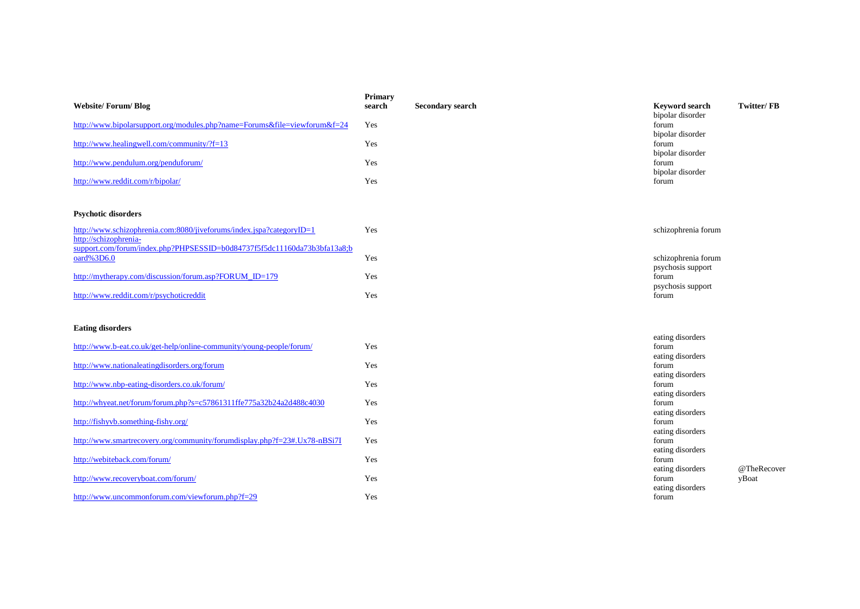| <b>Website/Forum/Blog</b>                                                                     | <b>Primary</b><br>search | <b>Secondary search</b> | <b>Keyword search</b><br>bipolar disorder     | Twitter/FB  |
|-----------------------------------------------------------------------------------------------|--------------------------|-------------------------|-----------------------------------------------|-------------|
| http://www.bipolarsupport.org/modules.php?name=Forums&file=viewforum&f=24                     | Yes                      |                         | forum                                         |             |
| http://www.healingwell.com/community/?f=13                                                    | Yes                      |                         | bipolar disorder<br>forum                     |             |
| http://www.pendulum.org/penduforum/                                                           | Yes                      |                         | bipolar disorder<br>forum<br>bipolar disorder |             |
| http://www.reddit.com/r/bipolar/                                                              | Yes                      |                         | forum                                         |             |
| <b>Psychotic disorders</b>                                                                    |                          |                         |                                               |             |
| http://www.schizophrenia.com:8080/jiveforums/index.jspa?categoryID=1<br>http://schizophrenia- | Yes                      |                         | schizophrenia forum                           |             |
| support.com/forum/index.php?PHPSESSID=b0d84737f5f5dc11160da73b3bfa13a8;b<br>oard%3D6.0        | Yes                      |                         | schizophrenia forum<br>psychosis support      |             |
| http://mytherapy.com/discussion/forum.asp?FORUM_ID=179                                        | Yes                      |                         | forum<br>psychosis support                    |             |
| http://www.reddit.com/r/psychoticreddit                                                       | Yes                      |                         | forum                                         |             |
| <b>Eating disorders</b>                                                                       |                          |                         | eating disorders                              |             |
| http://www.b-eat.co.uk/get-help/online-community/young-people/forum/                          | Yes                      |                         | forum<br>eating disorders                     |             |
| http://www.nationaleatingdisorders.org/forum                                                  | Yes                      |                         | forum<br>eating disorders                     |             |
| http://www.nbp-eating-disorders.co.uk/forum/                                                  | Yes                      |                         | forum<br>eating disorders                     |             |
| http://whyeat.net/forum/forum.php?s=c57861311ffe775a32b24a2d488c4030                          | Yes                      |                         | forum<br>eating disorders                     |             |
| http://fishyvb.something-fishy.org/                                                           | Yes                      |                         | forum<br>eating disorders                     |             |
| http://www.smartrecovery.org/community/forumdisplay.php?f=23#.Ux78-nBSi7I                     | Yes                      |                         | forum<br>eating disorders                     |             |
| http://webiteback.com/forum/                                                                  | Yes                      |                         | forum<br>eating disorders                     | @TheRecover |
| http://www.recoveryboat.com/forum/                                                            | Yes                      |                         | forum<br>eating disorders                     | yBoat       |
| http://www.uncommonforum.com/viewforum.php?f=29                                               | Yes                      |                         | forum                                         |             |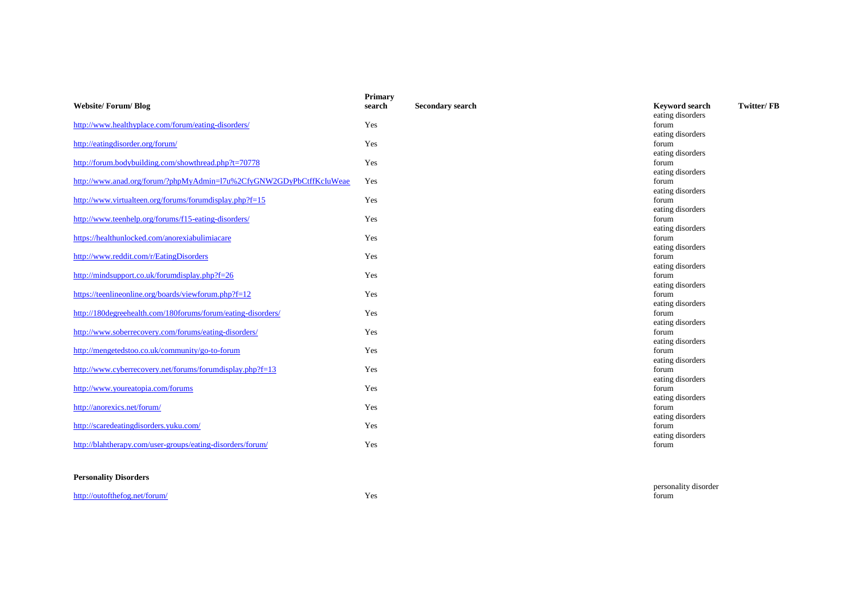|                                                                     | <b>Primary</b> |                         |                                     |
|---------------------------------------------------------------------|----------------|-------------------------|-------------------------------------|
| <b>Website/Forum/Blog</b>                                           | search         | <b>Secondary search</b> | Twitter/FB<br><b>Keyword search</b> |
|                                                                     |                |                         | eating disorders                    |
| http://www.healthyplace.com/forum/eating-disorders/                 | Yes            |                         | forum                               |
|                                                                     |                |                         | eating disorders                    |
| http://eatingdisorder.org/forum/                                    | Yes            |                         | forum                               |
|                                                                     |                |                         | eating disorders                    |
| http://forum.bodybuilding.com/showthread.php?t=70778                | Yes            |                         | forum                               |
|                                                                     |                |                         | eating disorders                    |
| http://www.anad.org/forum/?phpMyAdmin=17u%2CfyGNW2GDyPbCtffKcIuWeae | Yes            |                         | forum                               |
|                                                                     |                |                         | eating disorders                    |
| http://www.virtualteen.org/forums/forumdisplay.php?f=15             | Yes            |                         | forum                               |
|                                                                     |                |                         | eating disorders                    |
| http://www.teenhelp.org/forums/f15-eating-disorders/                | Yes            |                         | forum                               |
|                                                                     |                |                         | eating disorders                    |
| https://healthunlocked.com/anorexiabulimiacare                      | Yes            |                         | forum                               |
|                                                                     |                |                         | eating disorders                    |
| http://www.reddit.com/r/EatingDisorders                             | Yes            |                         | forum                               |
|                                                                     |                |                         | eating disorders                    |
| http://mindsupport.co.uk/forumdisplay.php?f=26                      | Yes            |                         | forum                               |
|                                                                     |                |                         | eating disorders                    |
| https://teenlineonline.org/boards/viewforum.php?f=12                | Yes            |                         | forum                               |
|                                                                     |                |                         | eating disorders                    |
| http://180degreehealth.com/180forums/forum/eating-disorders/        | Yes            |                         | forum                               |
|                                                                     |                |                         | eating disorders                    |
| http://www.soberrecovery.com/forums/eating-disorders/               | Yes            |                         | forum                               |
|                                                                     |                |                         | eating disorders                    |
| http://mengetedstoo.co.uk/community/go-to-forum                     | Yes            |                         | forum                               |
|                                                                     |                |                         | eating disorders                    |
| http://www.cyberrecovery.net/forums/forumdisplay.php?f=13           | Yes            |                         | forum                               |
|                                                                     |                |                         | eating disorders                    |
| http://www.youreatopia.com/forums                                   | Yes            |                         | forum                               |
|                                                                     |                |                         | eating disorders                    |
| http://anorexics.net/forum/                                         | Yes            |                         | forum                               |
|                                                                     |                |                         | eating disorders                    |
| http://scaredeatingdisorders.yuku.com/                              | Yes            |                         | forum                               |
|                                                                     |                |                         | eating disorders                    |
| http://blahtherapy.com/user-groups/eating-disorders/forum/          | Yes            |                         | forum                               |

### **Personality Disorders**

<http://outofthefog.net/forum/> Yes

personality disorder forum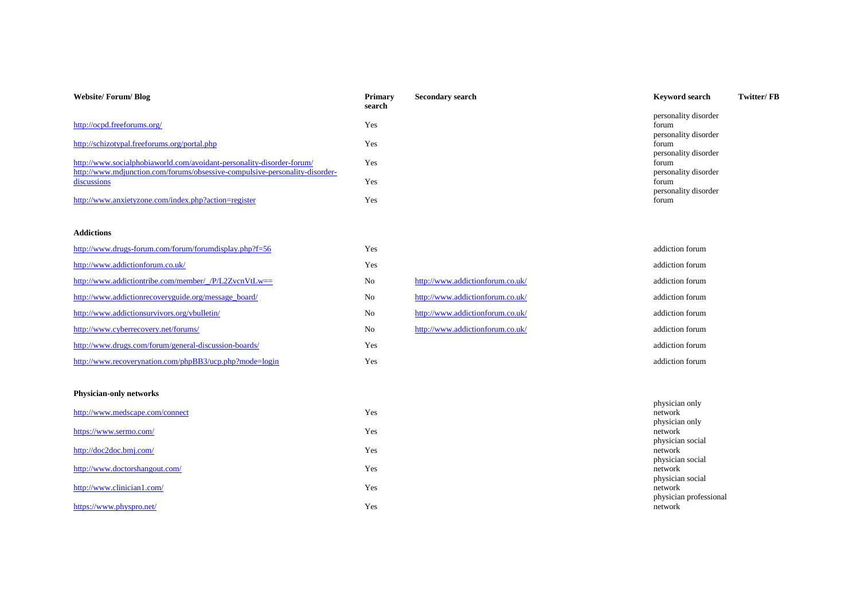| Website/Forum/Blog                                                          | <b>Primary</b><br>search | <b>Secondary search</b> | <b>Keyword search</b> | Twitter/FB |
|-----------------------------------------------------------------------------|--------------------------|-------------------------|-----------------------|------------|
|                                                                             |                          |                         | personality disorder  |            |
| http://ocpd.freeforums.org/                                                 | Yes                      |                         | forum                 |            |
|                                                                             |                          |                         | personality disorder  |            |
| http://schizotypal.freeforums.org/portal.php                                | Yes                      |                         | forum                 |            |
|                                                                             |                          |                         | personality disorder  |            |
| http://www.socialphobiaworld.com/avoidant-personality-disorder-forum/       | Yes                      |                         | forum                 |            |
| http://www.mdjunction.com/forums/obsessive-compulsive-personality-disorder- |                          |                         | personality disorder  |            |
| discussions                                                                 | Yes                      |                         | forum                 |            |
|                                                                             |                          |                         | personality disorder  |            |
| http://www.anxietyzone.com/index.php?action=register                        | Yes                      |                         | forum                 |            |

### **Addictions**

| http://www.drugs-forum.com/forum/forumdisplay.php?f=56  | Yes |                                  | addiction forum |
|---------------------------------------------------------|-----|----------------------------------|-----------------|
| http://www.addictionforum.co.uk/                        | Yes |                                  | addiction forum |
| http://www.addictiontribe.com/member/_/P/L2ZvcnVtLw==   | No  | http://www.addictionforum.co.uk/ | addiction forum |
| http://www.addictionrecoveryguide.org/message_board/    | No  | http://www.addictionforum.co.uk/ | addiction forum |
| http://www.addictionsurvivors.org/vbulletin/            | No  | http://www.addictionforum.co.uk/ | addiction forum |
| http://www.cyberrecovery.net/forums/                    | No  | http://www.addictionforum.co.uk/ | addiction forum |
| http://www.drugs.com/forum/general-discussion-boards/   | Yes |                                  | addiction forum |
| http://www.recoverynation.com/phpBB3/ucp.php?mode=login | Yes |                                  | addiction forum |

### **Physician-only networks**

| http://www.medscape.com/connect | Yes |
|---------------------------------|-----|
| https://www.sermo.com/          | Yes |
| http://doc2doc.bmj.com/         | Yes |
| http://www.doctorshangout.com/  | Yes |
| http://www.clinician1.com/      | Yes |
| https://www.physpro.net/        | Yes |

| physician only         |
|------------------------|
| network                |
| physician only         |
| network                |
| physician social       |
| network                |
| physician social       |
| network                |
| physician social       |
| network                |
| physician professional |
| network                |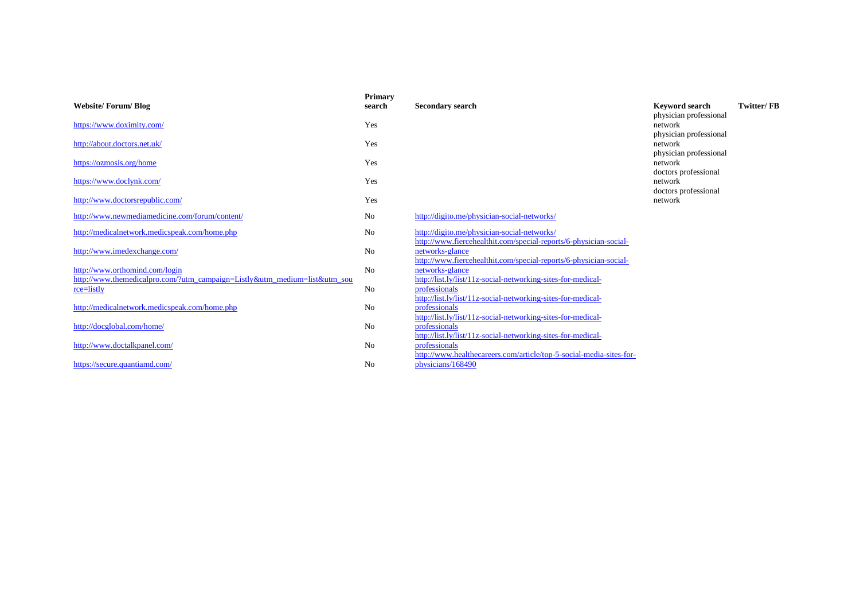| <b>Primary</b><br>search | <b>Secondary search</b>                     | <b>Keyword search</b>                                                                                                                                                                                                                                                                                                                                                                                                                                                         | <b>Twitter/FB</b>                                                                                                          |
|--------------------------|---------------------------------------------|-------------------------------------------------------------------------------------------------------------------------------------------------------------------------------------------------------------------------------------------------------------------------------------------------------------------------------------------------------------------------------------------------------------------------------------------------------------------------------|----------------------------------------------------------------------------------------------------------------------------|
| Yes                      |                                             | network                                                                                                                                                                                                                                                                                                                                                                                                                                                                       |                                                                                                                            |
| Yes                      |                                             | network                                                                                                                                                                                                                                                                                                                                                                                                                                                                       |                                                                                                                            |
| Yes                      |                                             | network                                                                                                                                                                                                                                                                                                                                                                                                                                                                       |                                                                                                                            |
| Yes                      |                                             | network                                                                                                                                                                                                                                                                                                                                                                                                                                                                       |                                                                                                                            |
| Yes                      |                                             | network                                                                                                                                                                                                                                                                                                                                                                                                                                                                       |                                                                                                                            |
| No                       | http://digito.me/physician-social-networks/ |                                                                                                                                                                                                                                                                                                                                                                                                                                                                               |                                                                                                                            |
| No                       | http://digito.me/physician-social-networks/ |                                                                                                                                                                                                                                                                                                                                                                                                                                                                               |                                                                                                                            |
| No                       | networks-glance                             |                                                                                                                                                                                                                                                                                                                                                                                                                                                                               |                                                                                                                            |
| N <sub>0</sub>           | networks-glance                             |                                                                                                                                                                                                                                                                                                                                                                                                                                                                               |                                                                                                                            |
| No                       | professionals                               |                                                                                                                                                                                                                                                                                                                                                                                                                                                                               |                                                                                                                            |
| N <sub>0</sub>           | professionals                               |                                                                                                                                                                                                                                                                                                                                                                                                                                                                               |                                                                                                                            |
| No                       | professionals                               |                                                                                                                                                                                                                                                                                                                                                                                                                                                                               |                                                                                                                            |
| No                       | professionals                               |                                                                                                                                                                                                                                                                                                                                                                                                                                                                               |                                                                                                                            |
| N <sub>0</sub>           | physicians/168490                           |                                                                                                                                                                                                                                                                                                                                                                                                                                                                               |                                                                                                                            |
|                          |                                             | http://www.fiercehealthit.com/special-reports/6-physician-social-<br>http://www.fiercehealthit.com/special-reports/6-physician-social-<br>http://list.ly/list/11z-social-networking-sites-for-medical-<br>http://list.ly/list/11z-social-networking-sites-for-medical-<br>http://list.ly/list/11z-social-networking-sites-for-medical-<br>http://list.ly/list/11z-social-networking-sites-for-medical-<br>http://www.healthecareers.com/article/top-5-social-media-sites-for- | physician professional<br>physician professional<br>physician professional<br>doctors professional<br>doctors professional |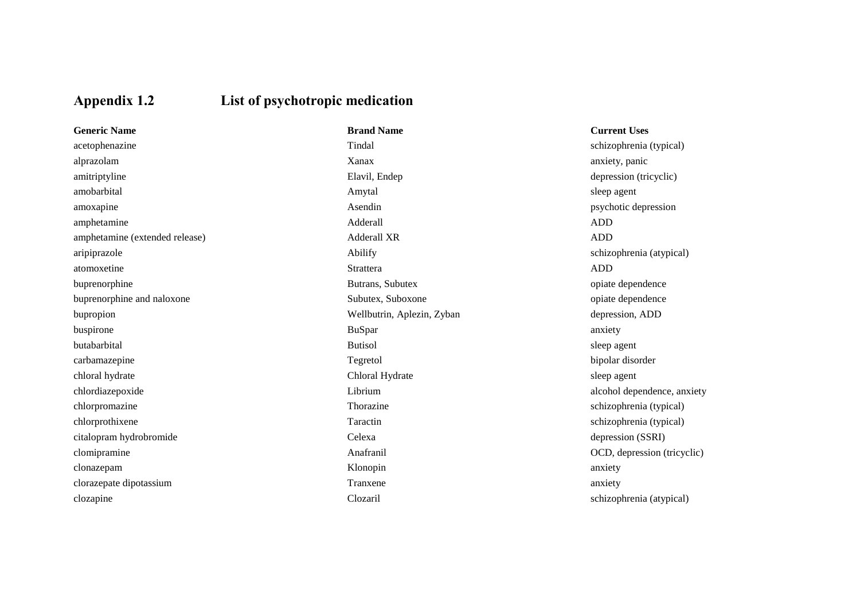# **Appendix 1.2 List of psychotropic medication**

| <b>Generic Name</b>            | <b>Brand Name</b>          | <b>Current Uses</b> |
|--------------------------------|----------------------------|---------------------|
| acetophenazine                 | Tindal                     | schizophrenia       |
| alprazolam                     | Xanax                      | anxiety, panic      |
| amitriptyline                  | Elavil, Endep              | depression (tri     |
| amobarbital                    | Amytal                     | sleep agent         |
| amoxapine                      | Asendin                    | psychotic depi      |
| amphetamine                    | Adderall                   | <b>ADD</b>          |
| amphetamine (extended release) | <b>Adderall XR</b>         | <b>ADD</b>          |
| aripiprazole                   | Abilify                    | schizophrenia       |
| atomoxetine                    | Strattera                  | <b>ADD</b>          |
| buprenorphine                  | Butrans, Subutex           | opiate depend       |
| buprenorphine and naloxone     | Subutex, Suboxone          | opiate depend       |
| bupropion                      | Wellbutrin, Aplezin, Zyban | depression, Al      |
| buspirone                      | <b>BuSpar</b>              | anxiety             |
| butabarbital                   | <b>Butisol</b>             | sleep agent         |
| carbamazepine                  | Tegretol                   | bipolar disord      |
| chloral hydrate                | Chloral Hydrate            | sleep agent         |
| chlordiazepoxide               | Librium                    | alcohol depen       |
| chlorpromazine                 | Thorazine                  | schizophrenia       |
| chlorprothixene                | Taractin                   | schizophrenia       |
| citalopram hydrobromide        | Celexa                     | depression (S.      |
| clomipramine                   | Anafranil                  | OCD, depress        |
| clonazepam                     | Klonopin                   | anxiety             |
| clorazepate dipotassium        | Tranxene                   | anxiety             |
| clozapine                      | Clozaril                   | schizophrenia       |

butrans, Subutex opiate dependence buprendict and national narrow opiate dependence opiate dependence butrin, Aplezin, Zyban depression, ADD carbamazer of the Tegreton bipolar disorder a depression (SSRI)

schizophrenia (typical)  $\alpha$ , Endep depression (tricyclic) din psychotic depression  $\delta y$  schizophrenia (atypical) children alcohol dependence, anxiety alcohol dependence, anxiety zine schizophrenia (typical) tin schizophrenia (typical) comil CCD, depression (tricyclic) ril schizophrenia (atypical)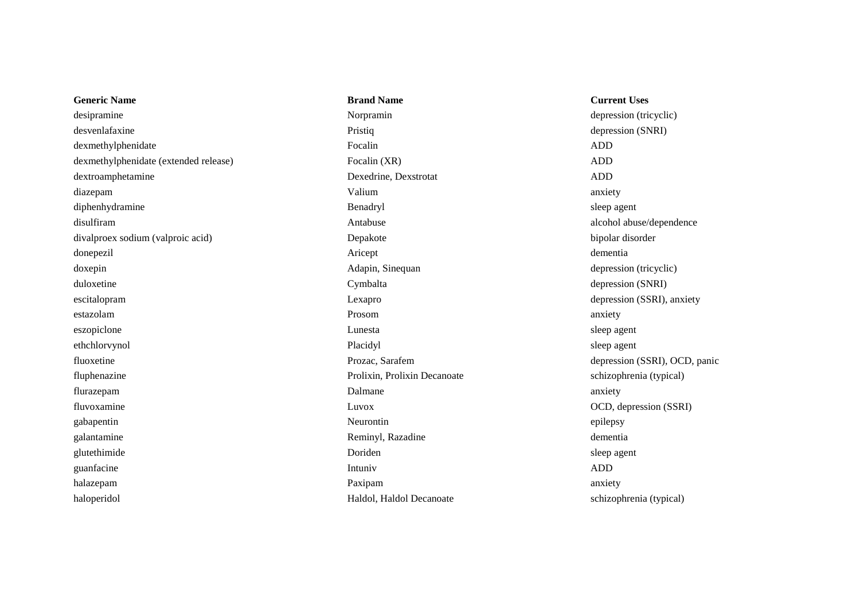| <b>Generic Name</b>                   | <b>Brand Name</b>            | <b>Current Uses</b> |
|---------------------------------------|------------------------------|---------------------|
| desipramine                           | Norpramin                    | depression (tri     |
| desvenlafaxine                        | Pristiq                      | depression (Sl      |
| dexmethylphenidate                    | Focalin                      | <b>ADD</b>          |
| dexmethylphenidate (extended release) | Focalin (XR)                 | <b>ADD</b>          |
| dextroamphetamine                     | Dexedrine, Dexstrotat        | <b>ADD</b>          |
| diazepam                              | Valium                       | anxiety             |
| diphenhydramine                       | Benadryl                     | sleep agent         |
| disulfiram                            | Antabuse                     | alcohol abuse/      |
| divalproex sodium (valproic acid)     | Depakote                     | bipolar disord      |
| donepezil                             | Aricept                      | dementia            |
| doxepin                               | Adapin, Sinequan             | depression (tri     |
| duloxetine                            | Cymbalta                     | depression (Sl      |
| escitalopram                          | Lexapro                      | depression (S.      |
| estazolam                             | Prosom                       | anxiety             |
| eszopiclone                           | Lunesta                      | sleep agent         |
| ethchlorvynol                         | Placidyl                     | sleep agent         |
| fluoxetine                            | Prozac, Sarafem              | depression (SS      |
| fluphenazine                          | Prolixin, Prolixin Decanoate | schizophrenia       |
| flurazepam                            | Dalmane                      | anxiety             |
| fluvoxamine                           | Luvox                        | OCD, depress        |
| gabapentin                            | Neurontin                    | epilepsy            |
| galantamine                           | Reminyl, Razadine            | dementia            |
| glutethimide                          | Doriden                      | sleep agent         |
| guanfacine                            | Intuniv                      | <b>ADD</b>          |
| halazepam                             | Paxipam                      | anxiety             |
| haloperidol                           | Haldol, Haldol Decanoate     | schizophrenia       |
|                                       |                              |                     |

Norpramin<br>depression (tricyclic) Pristiq depression (SNRI) Dexedrine. Dexstrotat ADD Antabuse alcohol abuse/dependence Depakote bipolar disorder Adapin, Sinequan depression (tricyclic) Cymbalta depression (SNRI) Lexapro depression (SSRI), anxiety Prolixin, Prolixin Decanoate schizophrenia (typical) fluvoxamine Luvox OCD, depression (SSRI) Reminyl, Razadine dementia Haldol, Haldol Decanoate schizophrenia (typical)

# Frozac, Sarafem depression (SSRI), OCD, panic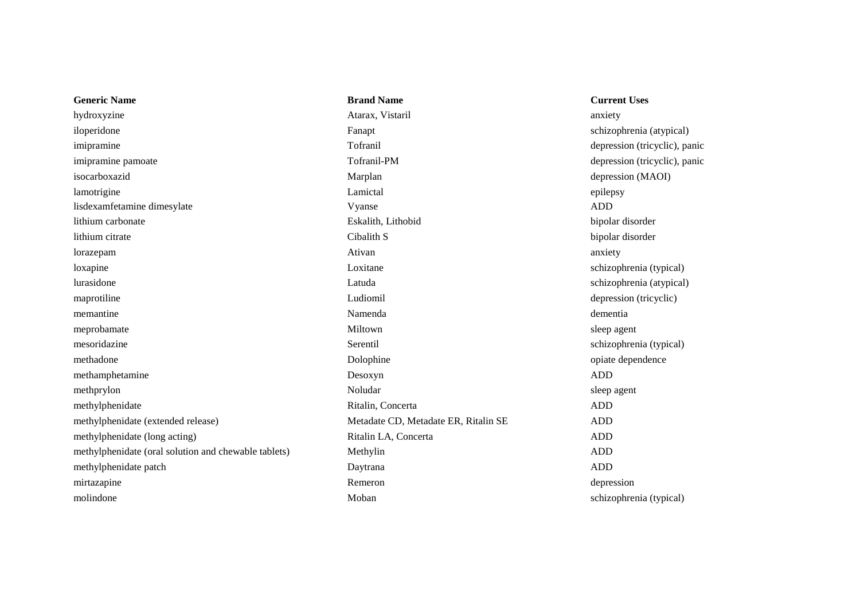| <b>Generic Name</b>                                  | <b>Brand Name</b>                    | <b>Current Uses</b>           |
|------------------------------------------------------|--------------------------------------|-------------------------------|
| hydroxyzine                                          | Atarax, Vistaril                     | anxiety                       |
| iloperidone                                          | Fanapt                               | schizophrenia (atypical)      |
| imipramine                                           | Tofranil                             | depression (tricyclic), panic |
| imipramine pamoate                                   | Tofranil-PM                          | depression (tricyclic), panic |
| isocarboxazid                                        | Marplan                              | depression (MAOI)             |
| lamotrigine                                          | Lamictal                             | epilepsy                      |
| lisdexamfetamine dimesylate                          | Vyanse                               | <b>ADD</b>                    |
| lithium carbonate                                    | Eskalith, Lithobid                   | bipolar disorder              |
| lithium citrate                                      | Cibalith S                           | bipolar disorder              |
| lorazepam                                            | Ativan                               | anxiety                       |
| loxapine                                             | Loxitane                             | schizophrenia (typical)       |
| lurasidone                                           | Latuda                               | schizophrenia (atypical)      |
| maprotiline                                          | Ludiomil                             | depression (tricyclic)        |
| memantine                                            | Namenda                              | dementia                      |
| meprobamate                                          | Miltown                              | sleep agent                   |
| mesoridazine                                         | Serentil                             | schizophrenia (typical)       |
| methadone                                            | Dolophine                            | opiate dependence             |
| methamphetamine                                      | Desoxyn                              | <b>ADD</b>                    |
| methprylon                                           | Noludar                              | sleep agent                   |
| methylphenidate                                      | Ritalin, Concerta                    | <b>ADD</b>                    |
| methylphenidate (extended release)                   | Metadate CD, Metadate ER, Ritalin SE | <b>ADD</b>                    |
| methylphenidate (long acting)                        | Ritalin LA, Concerta                 | <b>ADD</b>                    |
| methylphenidate (oral solution and chewable tablets) | Methylin                             | <b>ADD</b>                    |
| methylphenidate patch                                | Daytrana                             | <b>ADD</b>                    |
| mirtazapine                                          | Remeron                              | depression                    |
| molindone                                            | Moban                                | schizophrenia (typical)       |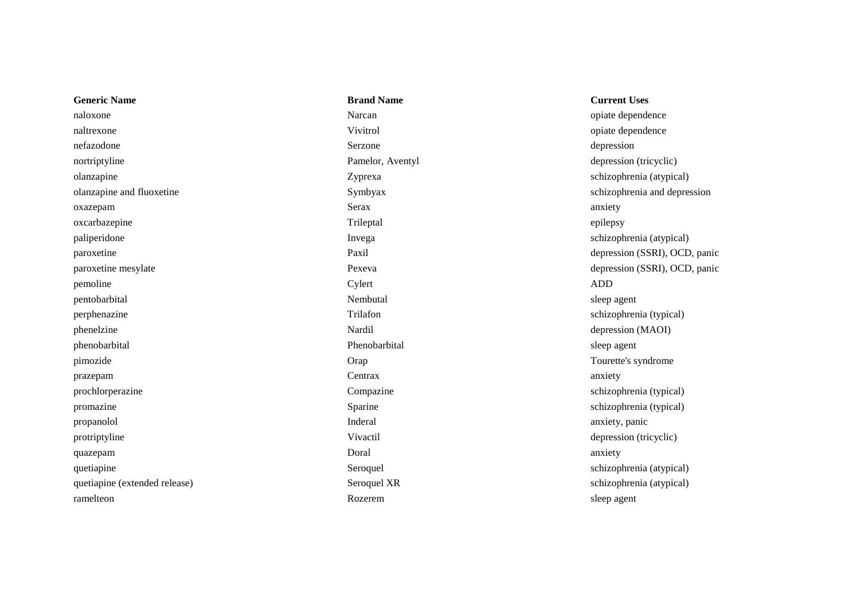| <b>Generic Name</b>           | <b>Brand Name</b> | <b>Current Uses</b>           |
|-------------------------------|-------------------|-------------------------------|
| naloxone                      | Narcan            | opiate dependence             |
| naltrexone                    | Vivitrol          | opiate dependence             |
| nefazodone                    | Serzone           | depression                    |
| nortriptyline                 | Pamelor, Aventyl  | depression (tricyclic)        |
| olanzapine                    | Zyprexa           | schizophrenia (atypical)      |
| olanzapine and fluoxetine     | Symbyax           | schizophrenia and depression  |
| oxazepam                      | Serax             | anxiety                       |
| oxcarbazepine                 | Trileptal         | epilepsy                      |
| paliperidone                  | Invega            | schizophrenia (atypical)      |
| paroxetine                    | Paxil             | depression (SSRI), OCD, panic |
| paroxetine mesylate           | Pexeva            | depression (SSRI), OCD, panic |
| pemoline                      | Cylert            | <b>ADD</b>                    |
| pentobarbital                 | Nembutal          | sleep agent                   |
| perphenazine                  | Trilafon          | schizophrenia (typical)       |
| phenelzine                    | Nardil            | depression (MAOI)             |
| phenobarbital                 | Phenobarbital     | sleep agent                   |
| pimozide                      | Orap              | Tourette's syndrome           |
| prazepam                      | Centrax           | anxiety                       |
| prochlorperazine              | Compazine         | schizophrenia (typical)       |
| promazine                     | Sparine           | schizophrenia (typical)       |
| propanolol                    | Inderal           | anxiety, panic                |
| protriptyline                 | Vivactil          | depression (tricyclic)        |
| quazepam                      | Doral             | anxiety                       |
| quetiapine                    | Seroquel          | schizophrenia (atypical)      |
| quetiapine (extended release) | Seroquel XR       | schizophrenia (atypical)      |
| ramelteon                     | Rozerem           | sleep agent                   |
|                               |                   |                               |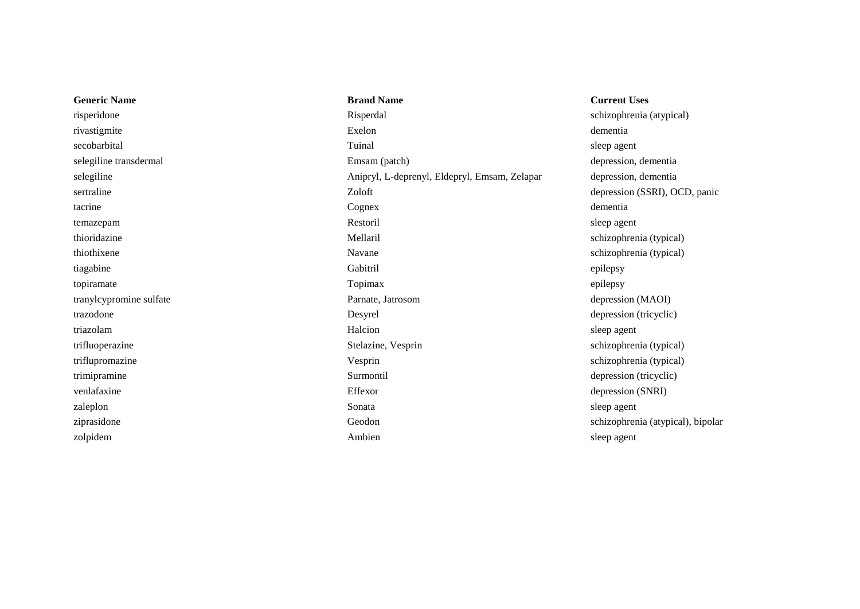**Generic Name Brand Name Brand Name Current Uses** risperidone Risperdal Risperdal schizophrenia (atypical) rivastigmite Exelon dementia secobarbital Tuinal sleep agent selegiline transdermal Emsam (patch) Emsam (patch) depression, dementia selegiline Anipryl, L-deprenyl, Eldepryl, Emsam, Zelapar depression, dementia sertraline Zoloft depression (SSRI), OCD, panic tacrine cognex communication communication of the communication of the communication of the communication of the communication of the communication of the communication of the communication of the communication of the comm temazepam Restoril sleep agent thioridazine Mellaril schizophrenia (typical) thiothixene schizophrenia (typical) tiagabine Gabitril epilepsy topiramate example to the contract of the contract of the Topimax and the contract of the contract of the contract of the contract of the contract of the contract of the contract of the contract of the contract of the cont tranylcypromine sulfate Parnate, Jatrosom depression (MAOI) trazodone **Desyrel** Desyrel depression (tricyclic) triazolam Halcion sleep agent trifluoperazine Stelazine, Vesprin schizophrenia (typical) triflupromazine Vesprin schizophrenia (typical) trimipramine Surmontil depression (tricyclic) venlafaxine **Effexor** Effexor depression (SNRI) zaleplon sleep agent sleep agent sleep agent sleep agent sleep agent sleep agent sleep agent sleep agent sleep ziprasidone Geodon schizophrenia (atypical), bipolar

zolpidem Ambien sleep agent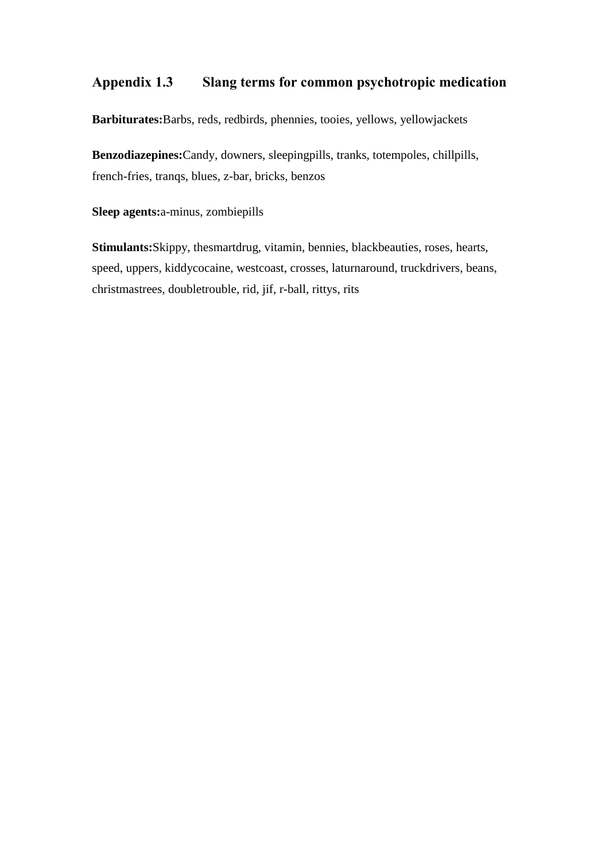## **Appendix 1.3 Slang terms for common psychotropic medication**

**Barbiturates:**Barbs, reds, redbirds, phennies, tooies, yellows, yellowjackets

**Benzodiazepines:**Candy, downers, sleepingpills, tranks, totempoles, chillpills, french-fries, tranqs, blues, z-bar, bricks, benzos

**Sleep agents:**a-minus, zombiepills

**Stimulants:**Skippy, thesmartdrug, vitamin, bennies, blackbeauties, roses, hearts, speed, uppers, kiddycocaine, westcoast, crosses, laturnaround, truckdrivers, beans, christmastrees, doubletrouble, rid, jif, r-ball, rittys, rits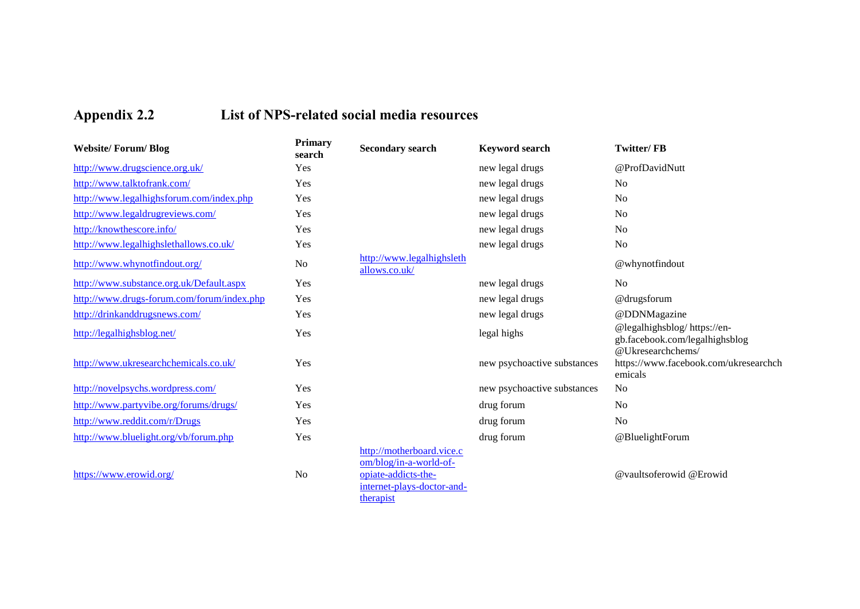# **Appendix 2.2 List of NPS-related social media resources**

| <b>Website/Forum/Blog</b>                  | <b>Primary</b><br>search | <b>Secondary search</b>                                                                                               | <b>Keyword search</b>       | <b>Twitter/FB</b>                                                                  |
|--------------------------------------------|--------------------------|-----------------------------------------------------------------------------------------------------------------------|-----------------------------|------------------------------------------------------------------------------------|
| http://www.drugscience.org.uk/             | Yes                      |                                                                                                                       | new legal drugs             | @ProfDavidNutt                                                                     |
| http://www.talktofrank.com/                | Yes                      |                                                                                                                       | new legal drugs             | N <sub>o</sub>                                                                     |
| http://www.legalhighsforum.com/index.php   | Yes                      |                                                                                                                       | new legal drugs             | N <sub>o</sub>                                                                     |
| http://www.legaldrugreviews.com/           | Yes                      |                                                                                                                       | new legal drugs             | N <sub>o</sub>                                                                     |
| http://knowthescore.info/                  | Yes                      |                                                                                                                       | new legal drugs             | No                                                                                 |
| http://www.legalhighslethallows.co.uk/     | Yes                      |                                                                                                                       | new legal drugs             | N <sub>o</sub>                                                                     |
| http://www.whynotfindout.org/              | No                       | http://www.legalhighsleth<br>allows.co.uk/                                                                            |                             | @whynotfindout                                                                     |
| http://www.substance.org.uk/Default.aspx   | Yes                      |                                                                                                                       | new legal drugs             | N <sub>o</sub>                                                                     |
| http://www.drugs-forum.com/forum/index.php | Yes                      |                                                                                                                       | new legal drugs             | @drugsforum                                                                        |
| http://drinkanddrugsnews.com/              | Yes                      |                                                                                                                       | new legal drugs             | @DDNMagazine                                                                       |
| http://legalhighsblog.net/                 | Yes                      |                                                                                                                       | legal highs                 | @legalhighsblog/https://en-<br>gb.facebook.com/legalhighsblog<br>@Ukresearchchems/ |
| http://www.ukresearchchemicals.co.uk/      | Yes                      |                                                                                                                       | new psychoactive substances | https://www.facebook.com/ukresearchch<br>emicals                                   |
| http://novelpsychs.wordpress.com/          | Yes                      |                                                                                                                       | new psychoactive substances | N <sub>o</sub>                                                                     |
| http://www.partyvibe.org/forums/drugs/     | Yes                      |                                                                                                                       | drug forum                  | N <sub>o</sub>                                                                     |
| http://www.reddit.com/r/Drugs              | Yes                      |                                                                                                                       | drug forum                  | N <sub>o</sub>                                                                     |
| http://www.bluelight.org/vb/forum.php      | Yes                      |                                                                                                                       | drug forum                  | @BluelightForum                                                                    |
| https://www.erowid.org/                    | No                       | http://motherboard.vice.c<br>om/blog/in-a-world-of-<br>opiate-addicts-the-<br>internet-plays-doctor-and-<br>therapist |                             | @vaultsoferowid @Erowid                                                            |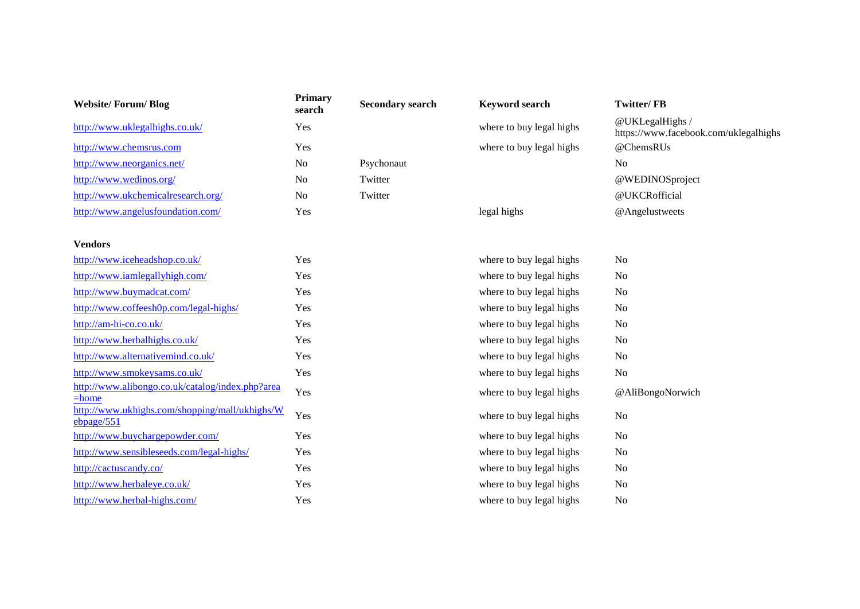| <b>Website/Forum/Blog</b>                                    | <b>Primary</b><br>search | <b>Secondary search</b> | <b>Keyword search</b>    | <b>Twitter/FB</b>                                        |
|--------------------------------------------------------------|--------------------------|-------------------------|--------------------------|----------------------------------------------------------|
| http://www.uklegalhighs.co.uk/                               | Yes                      |                         | where to buy legal highs | @UKLegalHighs /<br>https://www.facebook.com/uklegalhighs |
| http://www.chemsrus.com                                      | Yes                      |                         | where to buy legal highs | @ChemsRUs                                                |
| http://www.neorganics.net/                                   | N <sub>o</sub>           | Psychonaut              |                          | N <sub>o</sub>                                           |
| http://www.wedinos.org/                                      | N <sub>o</sub>           | Twitter                 |                          | @WEDINOSproject                                          |
| http://www.ukchemicalresearch.org/                           | N <sub>o</sub>           | Twitter                 |                          | @UKCRofficial                                            |
| http://www.angelusfoundation.com/                            | Yes                      |                         | legal highs              | @Angelustweets                                           |
| <b>Vendors</b>                                               |                          |                         |                          |                                                          |
| http://www.iceheadshop.co.uk/                                | Yes                      |                         | where to buy legal highs | N <sub>o</sub>                                           |
| http://www.iamlegallyhigh.com/                               | Yes                      |                         | where to buy legal highs | No                                                       |
| http://www.buymadcat.com/                                    | Yes                      |                         | where to buy legal highs | No                                                       |
| http://www.coffeesh0p.com/legal-highs/                       | Yes                      |                         | where to buy legal highs | No                                                       |
| http://am-hi-co.co.uk/                                       | Yes                      |                         | where to buy legal highs | No                                                       |
| http://www.herbalhighs.co.uk/                                | Yes                      |                         | where to buy legal highs | N <sub>o</sub>                                           |
| http://www.alternativemind.co.uk/                            | Yes                      |                         | where to buy legal highs | N <sub>o</sub>                                           |
| http://www.smokeysams.co.uk/                                 | Yes                      |                         | where to buy legal highs | N <sub>o</sub>                                           |
| http://www.alibongo.co.uk/catalog/index.php?area<br>$=$ home | Yes                      |                         | where to buy legal highs | @AliBongoNorwich                                         |
| http://www.ukhighs.com/shopping/mall/ukhighs/W<br>ebpage/551 | Yes                      |                         | where to buy legal highs | No                                                       |
| http://www.buychargepowder.com/                              | Yes                      |                         | where to buy legal highs | No                                                       |
| http://www.sensibleseeds.com/legal-highs/                    | Yes                      |                         | where to buy legal highs | N <sub>o</sub>                                           |
| http://cactuscandy.co/                                       | Yes                      |                         | where to buy legal highs | No                                                       |
| http://www.herbaleye.co.uk/                                  | Yes                      |                         | where to buy legal highs | No                                                       |
| http://www.herbal-highs.com/                                 | Yes                      |                         | where to buy legal highs | No                                                       |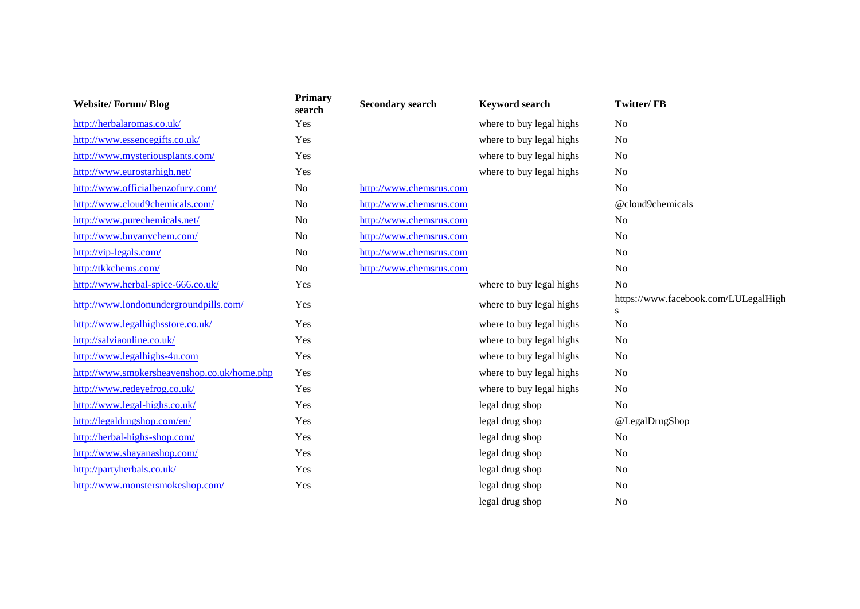| <b>Website/Forum/Blog</b>                   | <b>Primary</b><br>search | <b>Secondary search</b> | <b>Keyword search</b>    | <b>Twitter/FB</b>                          |
|---------------------------------------------|--------------------------|-------------------------|--------------------------|--------------------------------------------|
| http://herbalaromas.co.uk/                  | Yes                      |                         | where to buy legal highs | N <sub>o</sub>                             |
| http://www.essencegifts.co.uk/              | Yes                      |                         | where to buy legal highs | N <sub>o</sub>                             |
| http://www.mysteriousplants.com/            | Yes                      |                         | where to buy legal highs | N <sub>o</sub>                             |
| http://www.eurostarhigh.net/                | Yes                      |                         | where to buy legal highs | N <sub>o</sub>                             |
| http://www.officialbenzofury.com/           | No                       | http://www.chemsrus.com |                          | N <sub>o</sub>                             |
| http://www.cloud9chemicals.com/             | N <sub>o</sub>           | http://www.chemsrus.com |                          | @cloud9chemicals                           |
| http://www.purechemicals.net/               | No                       | http://www.chemsrus.com |                          | No                                         |
| http://www.buyanychem.com/                  | No                       | http://www.chemsrus.com |                          | N <sub>o</sub>                             |
| http://vip-legals.com/                      | N <sub>o</sub>           | http://www.chemsrus.com |                          | N <sub>o</sub>                             |
| http://tkkchems.com/                        | N <sub>o</sub>           | http://www.chemsrus.com |                          | N <sub>o</sub>                             |
| http://www.herbal-spice-666.co.uk/          | Yes                      |                         | where to buy legal highs | N <sub>o</sub>                             |
| http://www.londonundergroundpills.com/      | Yes                      |                         | where to buy legal highs | https://www.facebook.com/LULegalHigh<br>S. |
| http://www.legalhighsstore.co.uk/           | Yes                      |                         | where to buy legal highs | N <sub>o</sub>                             |
| http://salviaonline.co.uk/                  | Yes                      |                         | where to buy legal highs | <b>No</b>                                  |
| http://www.legalhighs-4u.com                | Yes                      |                         | where to buy legal highs | N <sub>o</sub>                             |
| http://www.smokersheavenshop.co.uk/home.php | Yes                      |                         | where to buy legal highs | N <sub>o</sub>                             |
| http://www.redeyefrog.co.uk/                | Yes                      |                         | where to buy legal highs | No                                         |
| http://www.legal-highs.co.uk/               | Yes                      |                         | legal drug shop          | N <sub>0</sub>                             |
| http://legaldrugshop.com/en/                | Yes                      |                         | legal drug shop          | @LegalDrugShop                             |
| http://herbal-highs-shop.com/               | Yes                      |                         | legal drug shop          | N <sub>0</sub>                             |
| http://www.shayanashop.com/                 | Yes                      |                         | legal drug shop          | N <sub>0</sub>                             |
| http://partyherbals.co.uk/                  | Yes                      |                         | legal drug shop          | N <sub>0</sub>                             |
| http://www.monstersmokeshop.com/            | Yes                      |                         | legal drug shop          | No                                         |
|                                             |                          |                         | legal drug shop          | N <sub>o</sub>                             |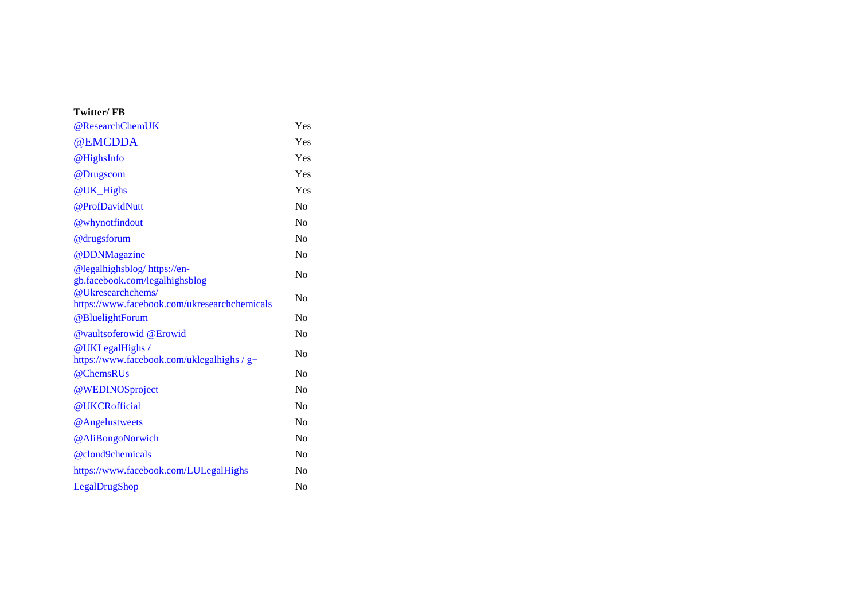### **Twitter/ FB**

| @ResearchChemUK                                                   | Yes            |
|-------------------------------------------------------------------|----------------|
| @EMCDDA                                                           | Yes            |
| @HighsInfo                                                        | Yes            |
| @Drugscom                                                         | Yes            |
| @UK_Highs                                                         | Yes            |
| @ProfDavidNutt                                                    | $\rm No$       |
| @whynotfindout                                                    | N <sub>0</sub> |
| @drugsforum                                                       | N <sub>0</sub> |
| @DDNMagazine                                                      | N <sub>0</sub> |
| @legalhighsblog/https://en-<br>gb.facebook.com/legalhighsblog     | N <sub>0</sub> |
| @Ukresearchchems/<br>https://www.facebook.com/ukresearchchemicals | N <sub>0</sub> |
| @BluelightForum                                                   | N <sub>0</sub> |
| <b>@</b> vaultsoferowid @Erowid                                   | N <sub>0</sub> |
| @UKLegalHighs/<br>https://www.facebook.com/uklegalhighs / g+      | N <sub>0</sub> |
| @ChemsRUs                                                         | N <sub>0</sub> |
| @WEDINOSproject                                                   | No             |
| @UKCRofficial                                                     | No             |
| @Angelustweets                                                    | No             |
| @AliBongoNorwich                                                  | No             |
| @cloud9chemicals                                                  | No             |
| https://www.facebook.com/LULegalHighs                             | No             |
| LegalDrugShop                                                     | N <sub>0</sub> |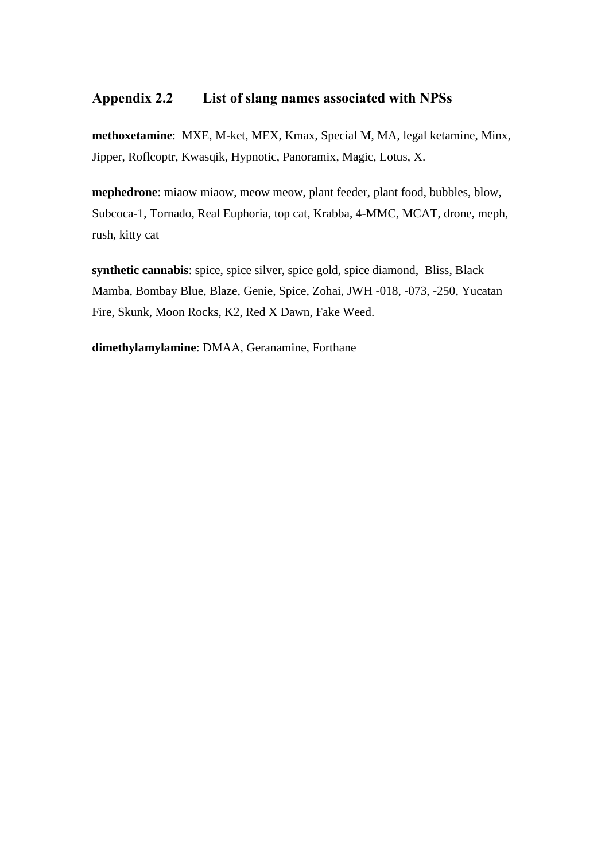### **Appendix 2.2 List of slang names associated with NPSs**

**methoxetamine**: MXE, M-ket, MEX, Kmax, Special M, MA, legal ketamine, Minx, Jipper, Roflcoptr, Kwasqik, Hypnotic, Panoramix, Magic, Lotus, X.

**mephedrone**: miaow miaow, meow meow, plant feeder, plant food, bubbles, blow, Subcoca-1, Tornado, Real Euphoria, top cat, Krabba, 4-MMC, MCAT, drone, meph, rush, kitty cat

**synthetic cannabis**: spice, spice silver, spice gold, spice diamond, Bliss, Black Mamba, Bombay Blue, Blaze, Genie, Spice, Zohai, JWH -018, -073, -250, Yucatan Fire, Skunk, Moon Rocks, K2, Red X Dawn, Fake Weed.

**dimethylamylamine**: DMAA, Geranamine, Forthane